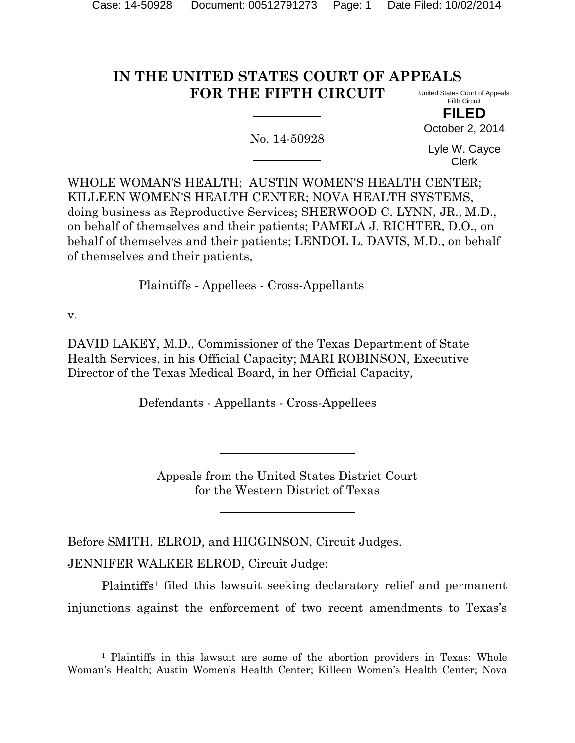#### **IN THE UNITED STATES COURT OF APPEALS FOR THE FIFTH CIRCUIT** United States Court of Appeals

No. 14-50928

Fifth Circuit **FILED** October 2, 2014

Lyle W. Cayce Clerk

WHOLE WOMAN'S HEALTH; AUSTIN WOMEN'S HEALTH CENTER; KILLEEN WOMEN'S HEALTH CENTER; NOVA HEALTH SYSTEMS, doing business as Reproductive Services; SHERWOOD C. LYNN, JR., M.D., on behalf of themselves and their patients; PAMELA J. RICHTER, D.O., on behalf of themselves and their patients; LENDOL L. DAVIS, M.D., on behalf of themselves and their patients,

Plaintiffs - Appellees - Cross-Appellants

v.

l

DAVID LAKEY, M.D., Commissioner of the Texas Department of State Health Services, in his Official Capacity; MARI ROBINSON, Executive Director of the Texas Medical Board, in her Official Capacity,

Defendants - Appellants - Cross-Appellees

Appeals from the United States District Court for the Western District of Texas

Before SMITH, ELROD, and HIGGINSON, Circuit Judges.

JENNIFER WALKER ELROD, Circuit Judge:

Plaintiffs<sup>[1](#page-0-0)</sup> filed this lawsuit seeking declaratory relief and permanent injunctions against the enforcement of two recent amendments to Texas's

<span id="page-0-0"></span><sup>1</sup> Plaintiffs in this lawsuit are some of the abortion providers in Texas: Whole Woman's Health; Austin Women's Health Center; Killeen Women's Health Center; Nova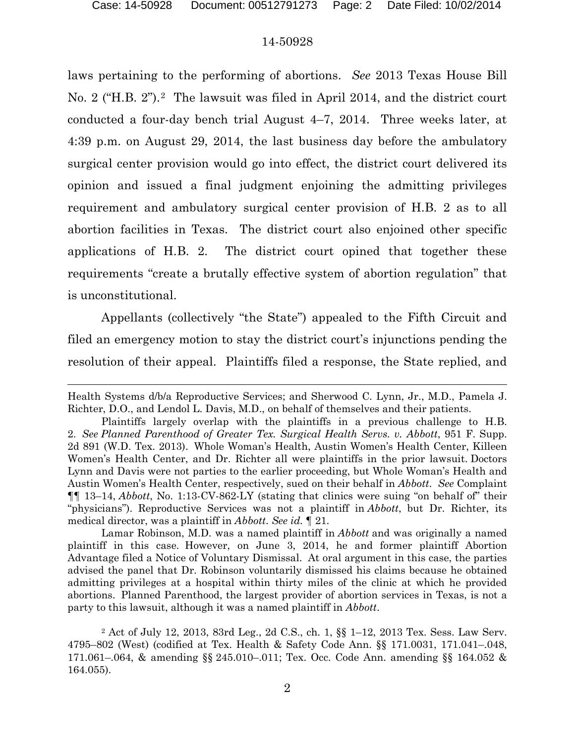# 14-50928

laws pertaining to the performing of abortions. *See* 2013 Texas House Bill No. [2](#page-1-0) ("H.B. 2").<sup>2</sup> The lawsuit was filed in April 2014, and the district court conducted a four-day bench trial August 4–7, 2014. Three weeks later, at 4:39 p.m. on August 29, 2014, the last business day before the ambulatory surgical center provision would go into effect, the district court delivered its opinion and issued a final judgment enjoining the admitting privileges requirement and ambulatory surgical center provision of H.B. 2 as to all abortion facilities in Texas. The district court also enjoined other specific applications of H.B. 2. The district court opined that together these requirements "create a brutally effective system of abortion regulation" that is unconstitutional.

Appellants (collectively "the State") appealed to the Fifth Circuit and filed an emergency motion to stay the district court's injunctions pending the resolution of their appeal. Plaintiffs filed a response, the State replied, and

Health Systems d/b/a Reproductive Services; and Sherwood C. Lynn, Jr., M.D., Pamela J. Richter, D.O., and Lendol L. Davis, M.D., on behalf of themselves and their patients.

Plaintiffs largely overlap with the plaintiffs in a previous challenge to H.B. 2. *See Planned Parenthood of Greater Tex. Surgical Health Servs. v. Abbott*, 951 F. Supp. 2d 891 (W.D. Tex. 2013). Whole Woman's Health, Austin Women's Health Center, Killeen Women's Health Center, and Dr. Richter all were plaintiffs in the prior lawsuit. Doctors Lynn and Davis were not parties to the earlier proceeding, but Whole Woman's Health and Austin Women's Health Center, respectively, sued on their behalf in *Abbott*. *See* Complaint ¶¶ 13–14, *Abbott*, No. 1:13-CV-862-LY (stating that clinics were suing "on behalf of" their "physicians"). Reproductive Services was not a plaintiff in *Abbott*, but Dr. Richter, its medical director, was a plaintiff in *Abbott*. *See id.* ¶ 21.

Lamar Robinson, M.D. was a named plaintiff in *Abbott* and was originally a named plaintiff in this case. However, on June 3, 2014, he and former plaintiff Abortion Advantage filed a Notice of Voluntary Dismissal. At oral argument in this case, the parties advised the panel that Dr. Robinson voluntarily dismissed his claims because he obtained admitting privileges at a hospital within thirty miles of the clinic at which he provided abortions. Planned Parenthood, the largest provider of abortion services in Texas, is not a party to this lawsuit, although it was a named plaintiff in *Abbott*.

<span id="page-1-0"></span><sup>2</sup> Act of July 12, 2013, 83rd Leg., 2d C.S., ch. 1, §§ 1–12, 2013 Tex. Sess. Law Serv. 4795–802 (West) (codified at Tex. Health & Safety Code Ann. §§ 171.0031, 171.041–.048, 171.061–.064, & amending §§ 245.010–.011; Tex. Occ. Code Ann. amending §§ 164.052 & 164.055).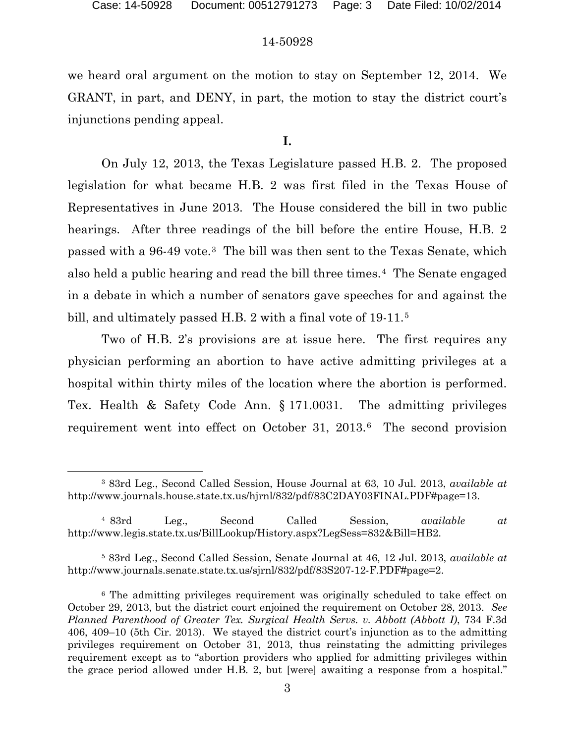## 14-50928

we heard oral argument on the motion to stay on September 12, 2014. We GRANT, in part, and DENY, in part, the motion to stay the district court's injunctions pending appeal.

# **I.**

On July 12, 2013, the Texas Legislature passed H.B. 2. The proposed legislation for what became H.B. 2 was first filed in the Texas House of Representatives in June 2013. The House considered the bill in two public hearings. After three readings of the bill before the entire House, H.B. 2 passed with a 96-49 vote.[3](#page-2-0) The bill was then sent to the Texas Senate, which also held a public hearing and read the bill three times.[4](#page-2-1) The Senate engaged in a debate in which a number of senators gave speeches for and against the bill, and ultimately passed H.B. 2 with a final vote of 19-11.<sup>5</sup>

Two of H.B. 2's provisions are at issue here. The first requires any physician performing an abortion to have active admitting privileges at a hospital within thirty miles of the location where the abortion is performed. Tex. Health & Safety Code Ann. § 171.0031. The admitting privileges requirement went into effect on October 31, 2013.[6](#page-2-3) The second provision

<span id="page-2-0"></span><sup>3</sup> 83rd Leg., Second Called Session, House Journal at 63, 10 Jul. 2013, *available at*  http://www.journals.house.state.tx.us/hjrnl/832/pdf/83C2DAY03FINAL.PDF#page=13.

<span id="page-2-1"></span><sup>4</sup> 83rd Leg., Second Called Session, *available at*  http://www.legis.state.tx.us/BillLookup/History.aspx?LegSess=832&Bill=HB2.

<span id="page-2-2"></span><sup>5</sup> 83rd Leg., Second Called Session, Senate Journal at 46, 12 Jul. 2013, *available at*  http://www.journals.senate.state.tx.us/sjrnl/832/pdf/83S207-12-F.PDF#page=2.

<span id="page-2-3"></span><sup>6</sup> The admitting privileges requirement was originally scheduled to take effect on October 29, 2013, but the district court enjoined the requirement on October 28, 2013. *See Planned Parenthood of Greater Tex. Surgical Health Servs. v. Abbott (Abbott I)*, 734 F.3d 406, 409–10 (5th Cir. 2013). We stayed the district court's injunction as to the admitting privileges requirement on October 31, 2013, thus reinstating the admitting privileges requirement except as to "abortion providers who applied for admitting privileges within the grace period allowed under H.B. 2, but [were] awaiting a response from a hospital."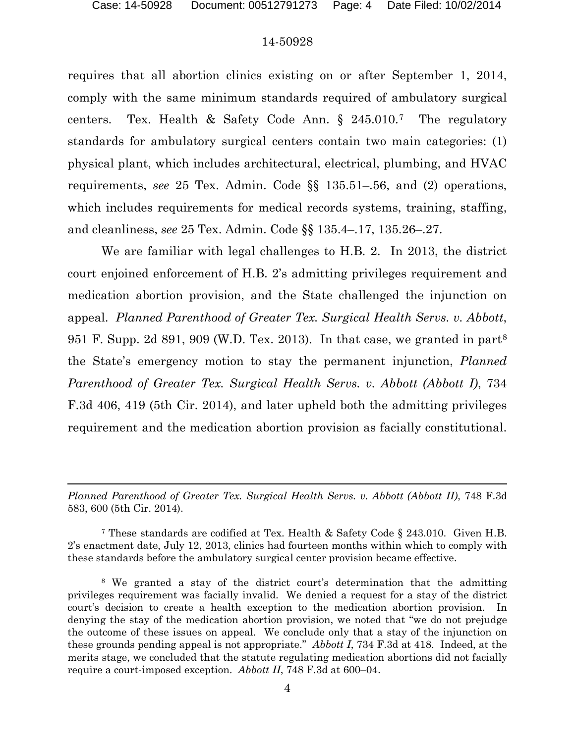### 14-50928

requires that all abortion clinics existing on or after September 1, 2014, comply with the same minimum standards required of ambulatory surgical centers. Tex. Health & Safety Code Ann. § 245.010.[7](#page-3-0) The regulatory standards for ambulatory surgical centers contain two main categories: (1) physical plant, which includes architectural, electrical, plumbing, and HVAC requirements, *see* 25 Tex. Admin. Code §§ 135.51–.56, and (2) operations, which includes requirements for medical records systems, training, staffing, and cleanliness, *see* 25 Tex. Admin. Code §§ 135.4–.17, 135.26–.27.

We are familiar with legal challenges to H.B. 2. In 2013, the district court enjoined enforcement of H.B. 2's admitting privileges requirement and medication abortion provision, and the State challenged the injunction on appeal. *Planned Parenthood of Greater Tex. Surgical Health Servs. v. Abbott*, 951 F. Supp. 2d 891, 909 (W.D. Tex. 2013). In that case, we granted in part[8](#page-3-1) the State's emergency motion to stay the permanent injunction, *Planned Parenthood of Greater Tex. Surgical Health Servs. v. Abbott (Abbott I)*, 734 F.3d 406, 419 (5th Cir. 2014), and later upheld both the admitting privileges requirement and the medication abortion provision as facially constitutional.

*Planned Parenthood of Greater Tex. Surgical Health Servs. v. Abbott (Abbott II)*, 748 F.3d 583, 600 (5th Cir. 2014).

<span id="page-3-0"></span><sup>7</sup> These standards are codified at Tex. Health & Safety Code § 243.010. Given H.B. 2's enactment date, July 12, 2013, clinics had fourteen months within which to comply with these standards before the ambulatory surgical center provision became effective.

<span id="page-3-1"></span><sup>8</sup> We granted a stay of the district court's determination that the admitting privileges requirement was facially invalid. We denied a request for a stay of the district court's decision to create a health exception to the medication abortion provision. In denying the stay of the medication abortion provision, we noted that "we do not prejudge the outcome of these issues on appeal. We conclude only that a stay of the injunction on these grounds pending appeal is not appropriate." *Abbott I*, 734 F.3d at 418. Indeed, at the merits stage, we concluded that the statute regulating medication abortions did not facially require a court-imposed exception. *Abbott II*, 748 F.3d at 600–04.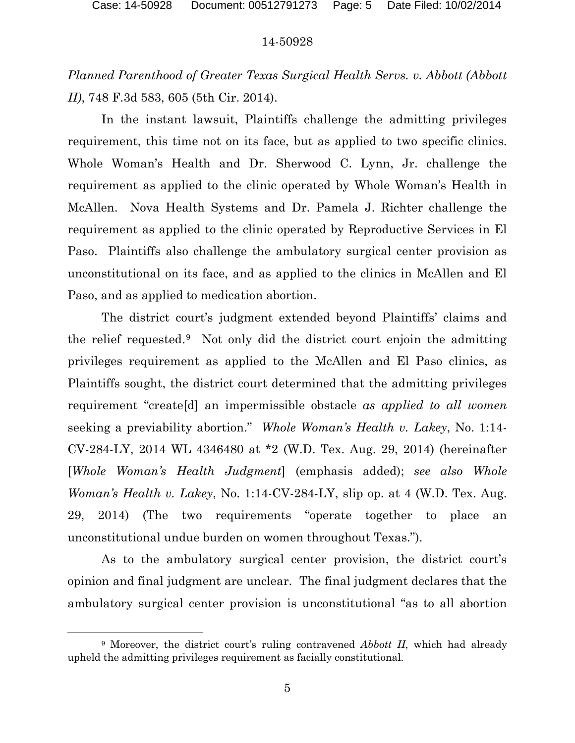*Planned Parenthood of Greater Texas Surgical Health Servs. v. Abbott (Abbott II)*, 748 F.3d 583, 605 (5th Cir. 2014).

In the instant lawsuit, Plaintiffs challenge the admitting privileges requirement, this time not on its face, but as applied to two specific clinics. Whole Woman's Health and Dr. Sherwood C. Lynn, Jr. challenge the requirement as applied to the clinic operated by Whole Woman's Health in McAllen. Nova Health Systems and Dr. Pamela J. Richter challenge the requirement as applied to the clinic operated by Reproductive Services in El Paso. Plaintiffs also challenge the ambulatory surgical center provision as unconstitutional on its face, and as applied to the clinics in McAllen and El Paso, and as applied to medication abortion.

The district court's judgment extended beyond Plaintiffs' claims and the relief requested.[9](#page-4-0) Not only did the district court enjoin the admitting privileges requirement as applied to the McAllen and El Paso clinics, as Plaintiffs sought, the district court determined that the admitting privileges requirement "create[d] an impermissible obstacle *as applied to all women*  seeking a previability abortion." *Whole Woman's Health v. Lakey*, No. 1:14- CV-284-LY, 2014 WL 4346480 at \*2 (W.D. Tex. Aug. 29, 2014) (hereinafter [*Whole Woman's Health Judgment*] (emphasis added); *see also Whole Woman's Health v. Lakey*, No. 1:14-CV-284-LY, slip op. at 4 (W.D. Tex. Aug. 29, 2014) (The two requirements "operate together to place an unconstitutional undue burden on women throughout Texas.").

As to the ambulatory surgical center provision, the district court's opinion and final judgment are unclear. The final judgment declares that the ambulatory surgical center provision is unconstitutional "as to all abortion

l

<span id="page-4-0"></span><sup>9</sup> Moreover, the district court's ruling contravened *Abbott II*, which had already upheld the admitting privileges requirement as facially constitutional.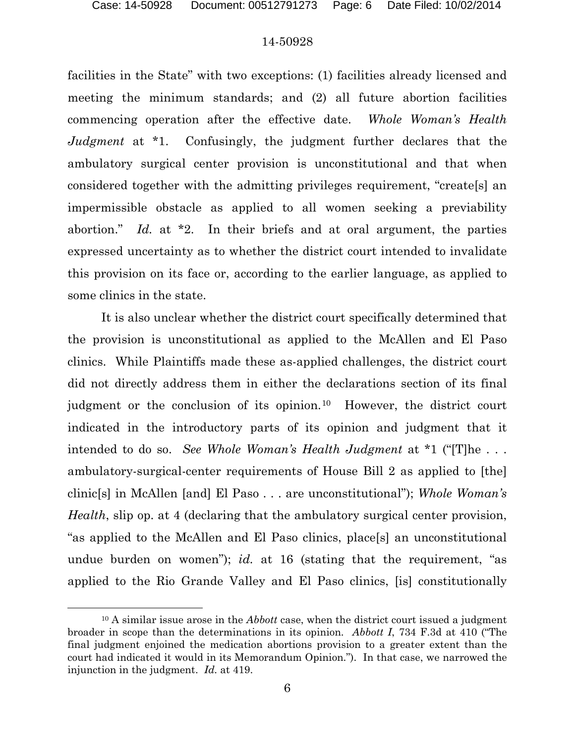### 14-50928

facilities in the State" with two exceptions: (1) facilities already licensed and meeting the minimum standards; and (2) all future abortion facilities commencing operation after the effective date. *Whole Woman's Health Judgment* at \*1. Confusingly, the judgment further declares that the ambulatory surgical center provision is unconstitutional and that when considered together with the admitting privileges requirement, "create[s] an impermissible obstacle as applied to all women seeking a previability abortion." *Id.* at \*2. In their briefs and at oral argument, the parties expressed uncertainty as to whether the district court intended to invalidate this provision on its face or, according to the earlier language, as applied to some clinics in the state.

It is also unclear whether the district court specifically determined that the provision is unconstitutional as applied to the McAllen and El Paso clinics. While Plaintiffs made these as-applied challenges, the district court did not directly address them in either the declarations section of its final judgment or the conclusion of its opinion.<sup>[10](#page-5-0)</sup> However, the district court indicated in the introductory parts of its opinion and judgment that it intended to do so. *See Whole Woman's Health Judgment* at \*1 ("[T]he . . . ambulatory-surgical-center requirements of House Bill 2 as applied to [the] clinic[s] in McAllen [and] El Paso . . . are unconstitutional"); *Whole Woman's Health*, slip op. at 4 (declaring that the ambulatory surgical center provision, "as applied to the McAllen and El Paso clinics, place[s] an unconstitutional undue burden on women"); *id.* at 16 (stating that the requirement, "as applied to the Rio Grande Valley and El Paso clinics, [is] constitutionally

<span id="page-5-0"></span><sup>10</sup> A similar issue arose in the *Abbott* case, when the district court issued a judgment broader in scope than the determinations in its opinion. *Abbott I*, 734 F.3d at 410 ("The final judgment enjoined the medication abortions provision to a greater extent than the court had indicated it would in its Memorandum Opinion."). In that case, we narrowed the injunction in the judgment. *Id.* at 419.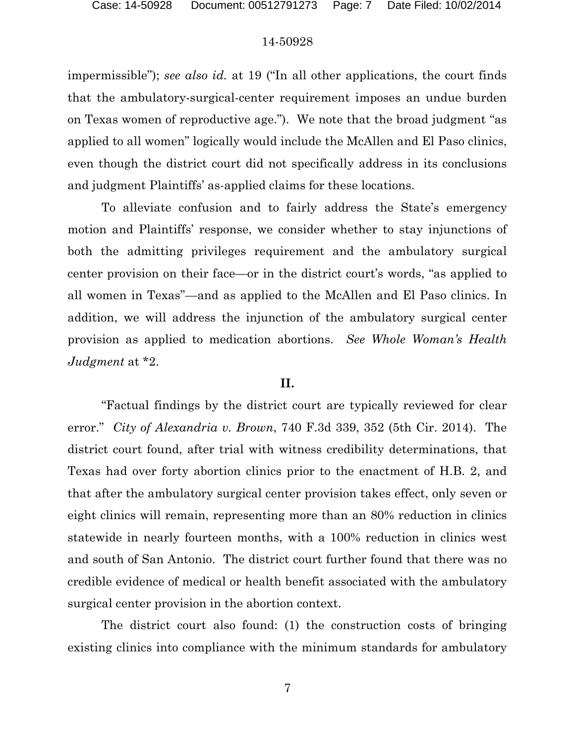impermissible"); *see also id.* at 19 ("In all other applications, the court finds that the ambulatory-surgical-center requirement imposes an undue burden on Texas women of reproductive age."). We note that the broad judgment "as applied to all women" logically would include the McAllen and El Paso clinics, even though the district court did not specifically address in its conclusions and judgment Plaintiffs' as-applied claims for these locations.

To alleviate confusion and to fairly address the State's emergency motion and Plaintiffs' response, we consider whether to stay injunctions of both the admitting privileges requirement and the ambulatory surgical center provision on their face—or in the district court's words, "as applied to all women in Texas"—and as applied to the McAllen and El Paso clinics. In addition, we will address the injunction of the ambulatory surgical center provision as applied to medication abortions. *See Whole Woman's Health Judgment* at \*2.

## **II.**

"Factual findings by the district court are typically reviewed for clear error." *City of Alexandria v. Brown*, 740 F.3d 339, 352 (5th Cir. 2014). The district court found, after trial with witness credibility determinations, that Texas had over forty abortion clinics prior to the enactment of H.B. 2, and that after the ambulatory surgical center provision takes effect, only seven or eight clinics will remain, representing more than an 80% reduction in clinics statewide in nearly fourteen months, with a 100% reduction in clinics west and south of San Antonio. The district court further found that there was no credible evidence of medical or health benefit associated with the ambulatory surgical center provision in the abortion context.

The district court also found: (1) the construction costs of bringing existing clinics into compliance with the minimum standards for ambulatory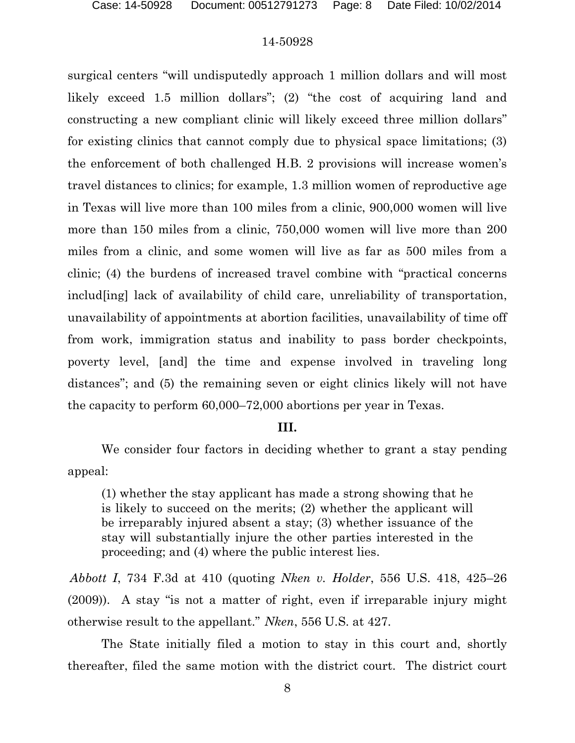surgical centers "will undisputedly approach 1 million dollars and will most likely exceed 1.5 million dollars"; (2) "the cost of acquiring land and constructing a new compliant clinic will likely exceed three million dollars" for existing clinics that cannot comply due to physical space limitations; (3) the enforcement of both challenged H.B. 2 provisions will increase women's travel distances to clinics; for example, 1.3 million women of reproductive age in Texas will live more than 100 miles from a clinic, 900,000 women will live more than 150 miles from a clinic, 750,000 women will live more than 200 miles from a clinic, and some women will live as far as 500 miles from a clinic; (4) the burdens of increased travel combine with "practical concerns includ[ing] lack of availability of child care, unreliability of transportation, unavailability of appointments at abortion facilities, unavailability of time off from work, immigration status and inability to pass border checkpoints, poverty level, [and] the time and expense involved in traveling long distances"; and (5) the remaining seven or eight clinics likely will not have the capacity to perform 60,000–72,000 abortions per year in Texas.

#### **III.**

We consider four factors in deciding whether to grant a stay pending appeal:

(1) whether the stay applicant has made a strong showing that he is likely to succeed on the merits; (2) whether the applicant will be irreparably injured absent a stay; (3) whether issuance of the stay will substantially injure the other parties interested in the proceeding; and (4) where the public interest lies.

*Abbott I*, 734 F.3d at 410 (quoting *Nken v. Holder*, 556 U.S. 418, 425–26 (2009)). A stay "is not a matter of right, even if irreparable injury might otherwise result to the appellant." *Nken*, 556 U.S. at 427.

The State initially filed a motion to stay in this court and, shortly thereafter, filed the same motion with the district court. The district court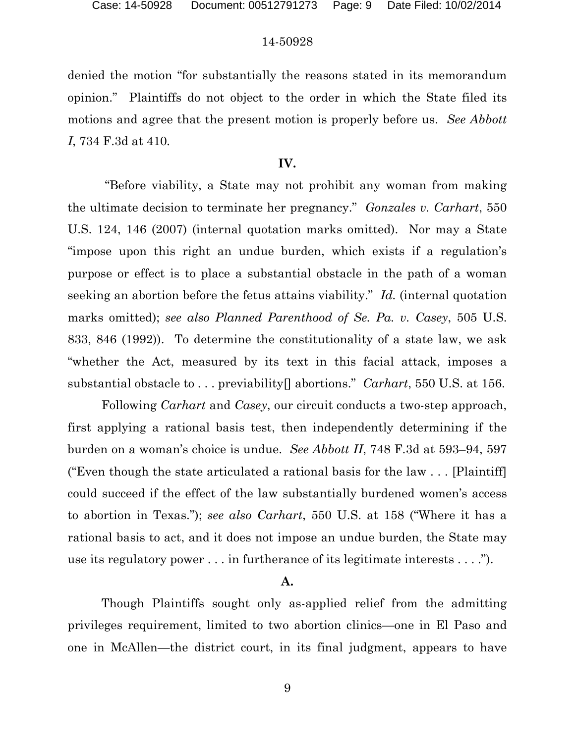denied the motion "for substantially the reasons stated in its memorandum opinion." Plaintiffs do not object to the order in which the State filed its motions and agree that the present motion is properly before us. *See Abbott I*, 734 F.3d at 410*.*

### **IV.**

"Before viability, a State may not prohibit any woman from making the ultimate decision to terminate her pregnancy." *Gonzales v. Carhart*, 550 U.S. 124, 146 (2007) (internal quotation marks omitted). Nor may a State "impose upon this right an undue burden, which exists if a regulation's purpose or effect is to place a substantial obstacle in the path of a woman seeking an abortion before the fetus attains viability." *Id.* (internal quotation marks omitted); *see also Planned Parenthood of Se. Pa. v. Casey*, 505 U.S. 833, 846 (1992)). To determine the constitutionality of a state law, we ask "whether the Act, measured by its text in this facial attack, imposes a substantial obstacle to . . . previability[] abortions." *Carhart*, 550 U.S. at 156.

Following *Carhart* and *Casey*, our circuit conducts a two-step approach, first applying a rational basis test, then independently determining if the burden on a woman's choice is undue. *See Abbott II*, 748 F.3d at 593–94, 597 ("Even though the state articulated a rational basis for the law . . . [Plaintiff] could succeed if the effect of the law substantially burdened women's access to abortion in Texas."); *see also Carhart*, 550 U.S. at 158 ("Where it has a rational basis to act, and it does not impose an undue burden, the State may use its regulatory power . . . in furtherance of its legitimate interests . . . .").

#### **A.**

Though Plaintiffs sought only as-applied relief from the admitting privileges requirement, limited to two abortion clinics—one in El Paso and one in McAllen—the district court, in its final judgment, appears to have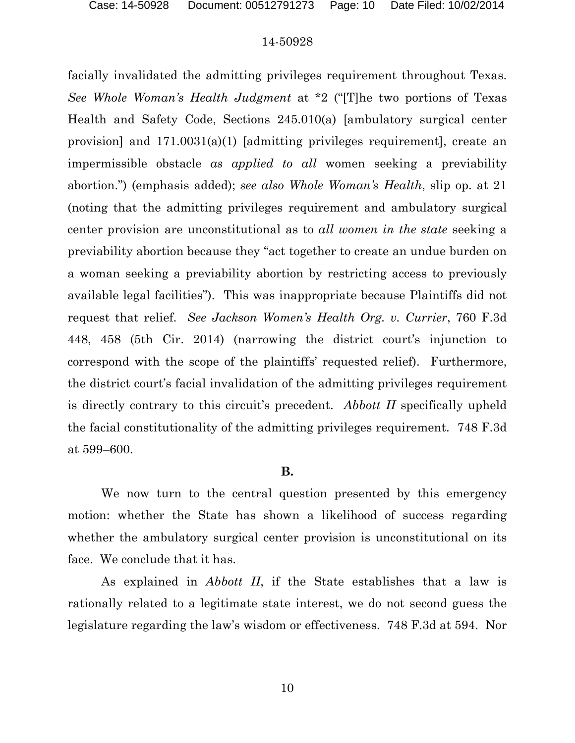facially invalidated the admitting privileges requirement throughout Texas. *See Whole Woman's Health Judgment* at \*2 ("[T]he two portions of Texas Health and Safety Code, Sections 245.010(a) [ambulatory surgical center provision] and 171.0031(a)(1) [admitting privileges requirement], create an impermissible obstacle *as applied to all* women seeking a previability abortion.") (emphasis added); *see also Whole Woman's Health*, slip op. at 21 (noting that the admitting privileges requirement and ambulatory surgical center provision are unconstitutional as to *all women in the state* seeking a previability abortion because they "act together to create an undue burden on a woman seeking a previability abortion by restricting access to previously available legal facilities"). This was inappropriate because Plaintiffs did not request that relief. *See Jackson Women's Health Org. v. Currier*, 760 F.3d 448, 458 (5th Cir. 2014) (narrowing the district court's injunction to correspond with the scope of the plaintiffs' requested relief). Furthermore, the district court's facial invalidation of the admitting privileges requirement is directly contrary to this circuit's precedent. *Abbott II* specifically upheld the facial constitutionality of the admitting privileges requirement. 748 F.3d at 599–600.

# **B.**

We now turn to the central question presented by this emergency motion: whether the State has shown a likelihood of success regarding whether the ambulatory surgical center provision is unconstitutional on its face. We conclude that it has.

As explained in *Abbott II*, if the State establishes that a law is rationally related to a legitimate state interest, we do not second guess the legislature regarding the law's wisdom or effectiveness. 748 F.3d at 594. Nor

10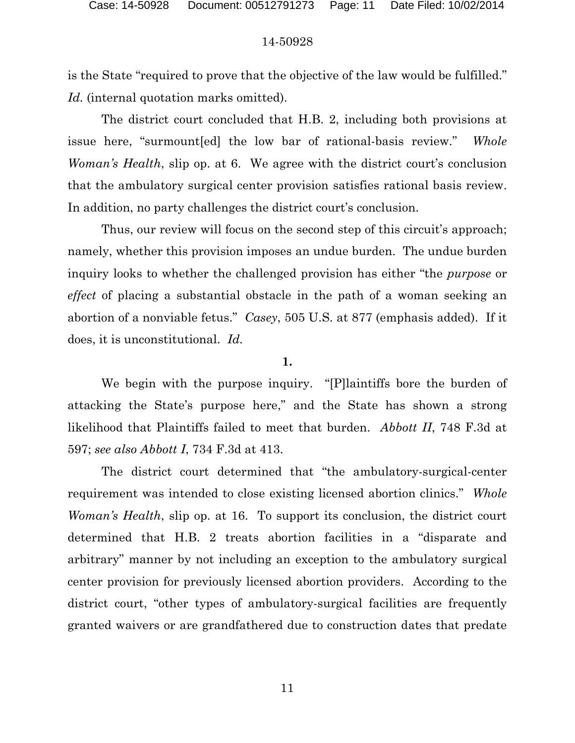is the State "required to prove that the objective of the law would be fulfilled." *Id.* (internal quotation marks omitted).

The district court concluded that H.B. 2, including both provisions at issue here, "surmount[ed] the low bar of rational-basis review." *Whole Woman's Health*, slip op. at 6. We agree with the district court's conclusion that the ambulatory surgical center provision satisfies rational basis review. In addition, no party challenges the district court's conclusion.

Thus, our review will focus on the second step of this circuit's approach; namely, whether this provision imposes an undue burden. The undue burden inquiry looks to whether the challenged provision has either "the *purpose* or *effect* of placing a substantial obstacle in the path of a woman seeking an abortion of a nonviable fetus." *Casey*, 505 U.S. at 877 (emphasis added). If it does, it is unconstitutional. *Id.*

# **1.**

We begin with the purpose inquiry. "[P]laintiffs bore the burden of attacking the State's purpose here," and the State has shown a strong likelihood that Plaintiffs failed to meet that burden. *Abbott II*, 748 F.3d at 597; *see also Abbott I*, 734 F.3d at 413.

The district court determined that "the ambulatory-surgical-center requirement was intended to close existing licensed abortion clinics." *Whole Woman's Health*, slip op. at 16. To support its conclusion, the district court determined that H.B. 2 treats abortion facilities in a "disparate and arbitrary" manner by not including an exception to the ambulatory surgical center provision for previously licensed abortion providers. According to the district court, "other types of ambulatory-surgical facilities are frequently granted waivers or are grandfathered due to construction dates that predate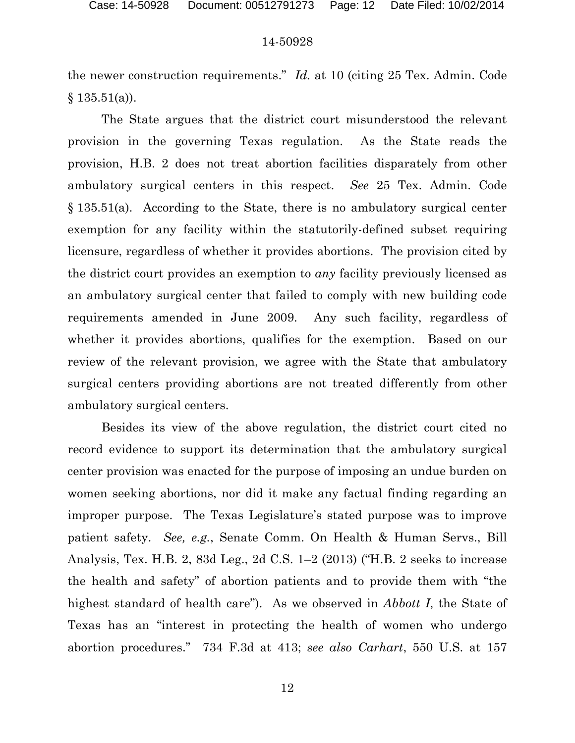the newer construction requirements." *Id.* at 10 (citing 25 Tex. Admin. Code  $§ 135.51(a)$ .

The State argues that the district court misunderstood the relevant provision in the governing Texas regulation. As the State reads the provision, H.B. 2 does not treat abortion facilities disparately from other ambulatory surgical centers in this respect. *See* 25 Tex. Admin. Code § 135.51(a). According to the State, there is no ambulatory surgical center exemption for any facility within the statutorily-defined subset requiring licensure, regardless of whether it provides abortions. The provision cited by the district court provides an exemption to *any* facility previously licensed as an ambulatory surgical center that failed to comply with new building code requirements amended in June 2009. Any such facility, regardless of whether it provides abortions, qualifies for the exemption. Based on our review of the relevant provision, we agree with the State that ambulatory surgical centers providing abortions are not treated differently from other ambulatory surgical centers.

Besides its view of the above regulation, the district court cited no record evidence to support its determination that the ambulatory surgical center provision was enacted for the purpose of imposing an undue burden on women seeking abortions, nor did it make any factual finding regarding an improper purpose. The Texas Legislature's stated purpose was to improve patient safety. *See, e.g.*, Senate Comm. On Health & Human Servs., Bill Analysis, Tex. H.B. 2, 83d Leg., 2d C.S. 1–2 (2013) ("H.B. 2 seeks to increase the health and safety" of abortion patients and to provide them with "the highest standard of health care"). As we observed in *Abbott I*, the State of Texas has an "interest in protecting the health of women who undergo abortion procedures." 734 F.3d at 413; *see also Carhart*, 550 U.S. at 157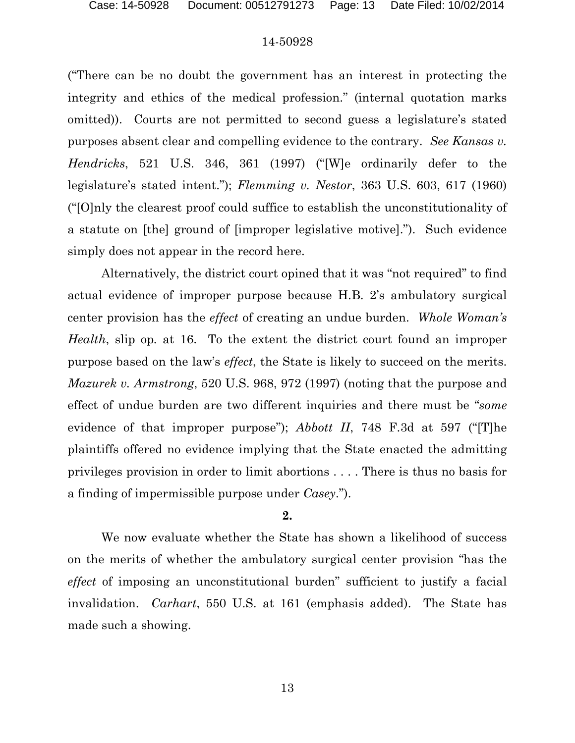("There can be no doubt the government has an interest in protecting the integrity and ethics of the medical profession." (internal quotation marks omitted)). Courts are not permitted to second guess a legislature's stated purposes absent clear and compelling evidence to the contrary. *See Kansas v. Hendricks*, 521 U.S. 346, 361 (1997) ("[W]e ordinarily defer to the legislature's stated intent."); *Flemming v. Nestor*, 363 U.S. 603, 617 (1960) ("[O]nly the clearest proof could suffice to establish the unconstitutionality of a statute on [the] ground of [improper legislative motive]."). Such evidence simply does not appear in the record here.

Alternatively, the district court opined that it was "not required" to find actual evidence of improper purpose because H.B. 2's ambulatory surgical center provision has the *effect* of creating an undue burden. *Whole Woman's Health*, slip op*.* at 16. To the extent the district court found an improper purpose based on the law's *effect*, the State is likely to succeed on the merits. *Mazurek v. Armstrong*, 520 U.S. 968, 972 (1997) (noting that the purpose and effect of undue burden are two different inquiries and there must be "*some*  evidence of that improper purpose"); *Abbott II*, 748 F.3d at 597 ("[T]he plaintiffs offered no evidence implying that the State enacted the admitting privileges provision in order to limit abortions . . . . There is thus no basis for a finding of impermissible purpose under *Casey*.").

# **2.**

We now evaluate whether the State has shown a likelihood of success on the merits of whether the ambulatory surgical center provision "has the *effect* of imposing an unconstitutional burden" sufficient to justify a facial invalidation. *Carhart*, 550 U.S. at 161 (emphasis added). The State has made such a showing.

13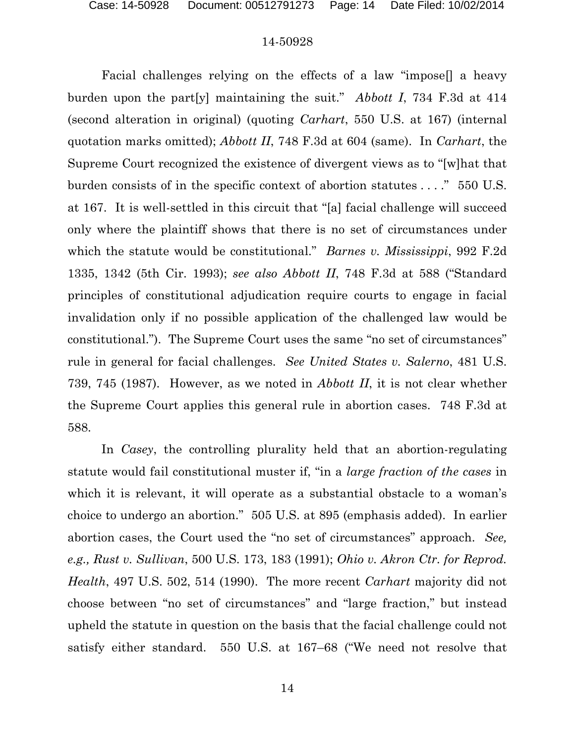Facial challenges relying on the effects of a law "impose[] a heavy burden upon the part[y] maintaining the suit." *Abbott I*, 734 F.3d at 414 (second alteration in original) (quoting *Carhart*, 550 U.S. at 167) (internal quotation marks omitted); *Abbott II*, 748 F.3d at 604 (same). In *Carhart*, the Supreme Court recognized the existence of divergent views as to "[w]hat that burden consists of in the specific context of abortion statutes . . . ." 550 U.S. at 167.It is well-settled in this circuit that "[a] facial challenge will succeed only where the plaintiff shows that there is no set of circumstances under which the statute would be constitutional." *Barnes v. Mississippi*, 992 F.2d 1335, 1342 (5th Cir. 1993); *see also Abbott II*, 748 F.3d at 588 ("Standard principles of constitutional adjudication require courts to engage in facial invalidation only if no possible application of the challenged law would be constitutional."). The Supreme Court uses the same "no set of circumstances" rule in general for facial challenges. *See United States v. Salerno*, 481 U.S. 739, 745 (1987). However, as we noted in *Abbott II*, it is not clear whether the Supreme Court applies this general rule in abortion cases. 748 F.3d at 588.

In *Casey*, the controlling plurality held that an abortion-regulating statute would fail constitutional muster if, "in a *large fraction of the cases* in which it is relevant, it will operate as a substantial obstacle to a woman's choice to undergo an abortion." 505 U.S. at 895 (emphasis added). In earlier abortion cases, the Court used the "no set of circumstances" approach. *See, e.g., Rust v. Sullivan*, 500 U.S. 173, 183 (1991); *Ohio v. Akron Ctr. for Reprod. Health*, 497 U.S. 502, 514 (1990). The more recent *Carhart* majority did not choose between "no set of circumstances" and "large fraction," but instead upheld the statute in question on the basis that the facial challenge could not satisfy either standard. 550 U.S. at 167–68 ("We need not resolve that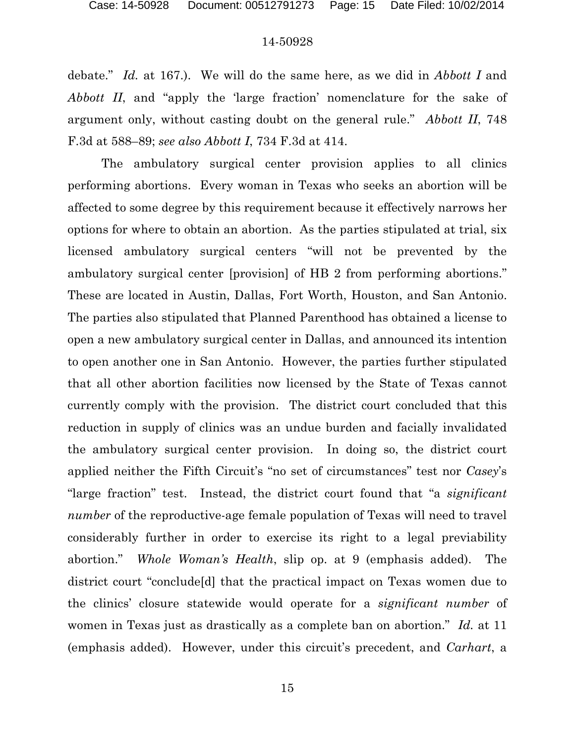debate." *Id.* at 167.). We will do the same here, as we did in *Abbott I* and *Abbott II*, and "apply the 'large fraction' nomenclature for the sake of argument only, without casting doubt on the general rule." *Abbott II*, 748 F.3d at 588–89; *see also Abbott I*, 734 F.3d at 414.

The ambulatory surgical center provision applies to all clinics performing abortions. Every woman in Texas who seeks an abortion will be affected to some degree by this requirement because it effectively narrows her options for where to obtain an abortion. As the parties stipulated at trial, six licensed ambulatory surgical centers "will not be prevented by the ambulatory surgical center [provision] of HB 2 from performing abortions." These are located in Austin, Dallas, Fort Worth, Houston, and San Antonio. The parties also stipulated that Planned Parenthood has obtained a license to open a new ambulatory surgical center in Dallas, and announced its intention to open another one in San Antonio. However, the parties further stipulated that all other abortion facilities now licensed by the State of Texas cannot currently comply with the provision. The district court concluded that this reduction in supply of clinics was an undue burden and facially invalidated the ambulatory surgical center provision. In doing so, the district court applied neither the Fifth Circuit's "no set of circumstances" test nor *Casey*'s "large fraction" test. Instead, the district court found that "a *significant number* of the reproductive-age female population of Texas will need to travel considerably further in order to exercise its right to a legal previability abortion." *Whole Woman's Health*, slip op. at 9 (emphasis added). The district court "conclude[d] that the practical impact on Texas women due to the clinics' closure statewide would operate for a *significant number* of women in Texas just as drastically as a complete ban on abortion." *Id.* at 11 (emphasis added). However, under this circuit's precedent, and *Carhart*, a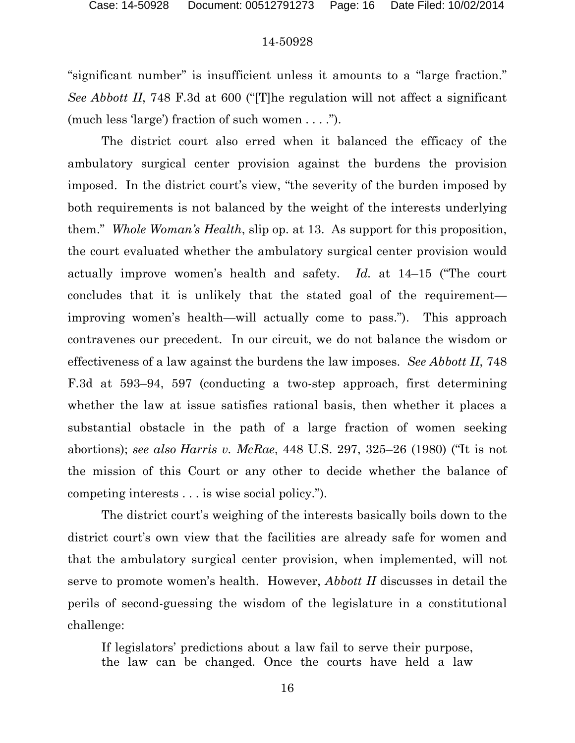"significant number" is insufficient unless it amounts to a "large fraction." *See Abbott II*, 748 F.3d at 600 ("[T]he regulation will not affect a significant (much less 'large') fraction of such women . . . .").

The district court also erred when it balanced the efficacy of the ambulatory surgical center provision against the burdens the provision imposed. In the district court's view, "the severity of the burden imposed by both requirements is not balanced by the weight of the interests underlying them." *Whole Woman's Health*, slip op. at 13. As support for this proposition, the court evaluated whether the ambulatory surgical center provision would actually improve women's health and safety. *Id.* at 14–15 ("The court concludes that it is unlikely that the stated goal of the requirement improving women's health—will actually come to pass."). This approach contravenes our precedent. In our circuit, we do not balance the wisdom or effectiveness of a law against the burdens the law imposes. *See Abbott II*, 748 F.3d at 593–94, 597 (conducting a two-step approach, first determining whether the law at issue satisfies rational basis, then whether it places a substantial obstacle in the path of a large fraction of women seeking abortions); *see also Harris v. McRae*, 448 U.S. 297, 325–26 (1980) ("It is not the mission of this Court or any other to decide whether the balance of competing interests . . . is wise social policy.").

The district court's weighing of the interests basically boils down to the district court's own view that the facilities are already safe for women and that the ambulatory surgical center provision, when implemented, will not serve to promote women's health. However, *Abbott II* discusses in detail the perils of second-guessing the wisdom of the legislature in a constitutional challenge:

If legislators' predictions about a law fail to serve their purpose, the law can be changed. Once the courts have held a law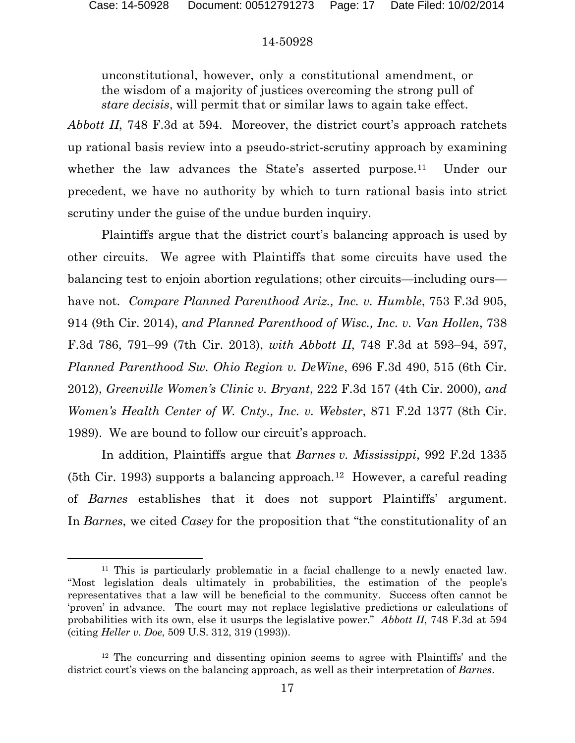# 14-50928

unconstitutional, however, only a constitutional amendment, or the wisdom of a majority of justices overcoming the strong pull of *stare decisis*, will permit that or similar laws to again take effect.

*Abbott II*, 748 F.3d at 594. Moreover, the district court's approach ratchets up rational basis review into a pseudo-strict-scrutiny approach by examining whether the law advances the State's asserted purpose.<sup>11</sup> Under our precedent, we have no authority by which to turn rational basis into strict scrutiny under the guise of the undue burden inquiry.

Plaintiffs argue that the district court's balancing approach is used by other circuits. We agree with Plaintiffs that some circuits have used the balancing test to enjoin abortion regulations; other circuits—including ours have not. *Compare Planned Parenthood Ariz., Inc. v. Humble*, 753 F.3d 905, 914 (9th Cir. 2014), *and Planned Parenthood of Wisc., Inc. v. Van Hollen*, 738 F.3d 786, 791–99 (7th Cir. 2013), *with Abbott II*, 748 F.3d at 593–94, 597, *Planned Parenthood Sw. Ohio Region v. DeWine*, 696 F.3d 490, 515 (6th Cir. 2012), *Greenville Women's Clinic v. Bryant*, 222 F.3d 157 (4th Cir. 2000), *and Women's Health Center of W. Cnty., Inc. v. Webster*, 871 F.2d 1377 (8th Cir. 1989). We are bound to follow our circuit's approach.

In addition, Plaintiffs argue that *Barnes v. Mississippi*, 992 F.2d 1335 (5th Cir. 1993) supports a balancing approach.<sup>[12](#page-16-1)</sup> However, a careful reading of *Barnes* establishes that it does not support Plaintiffs' argument. In *Barnes*, we cited *Casey* for the proposition that "the constitutionality of an

<span id="page-16-0"></span><sup>&</sup>lt;sup>11</sup> This is particularly problematic in a facial challenge to a newly enacted law. "Most legislation deals ultimately in probabilities, the estimation of the people's representatives that a law will be beneficial to the community. Success often cannot be 'proven' in advance. The court may not replace legislative predictions or calculations of probabilities with its own, else it usurps the legislative power." *Abbott II*, 748 F.3d at 594 (citing *Heller v. Doe*, 509 U.S. 312, 319 (1993)).

<span id="page-16-1"></span> $12$  The concurring and dissenting opinion seems to agree with Plaintiffs' and the district court's views on the balancing approach, as well as their interpretation of *Barnes*.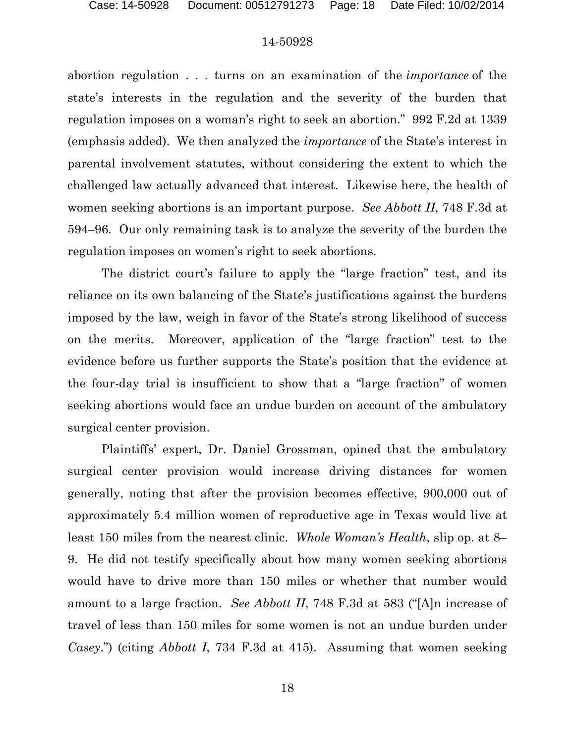abortion regulation . . . turns on an examination of the *importance* of the state's interests in the regulation and the severity of the burden that regulation imposes on a woman's right to seek an abortion." 992 F.2d at 1339 (emphasis added). We then analyzed the *importance* of the State's interest in parental involvement statutes, without considering the extent to which the challenged law actually advanced that interest. Likewise here, the health of women seeking abortions is an important purpose. *See Abbott II*, 748 F.3d at 594–96. Our only remaining task is to analyze the severity of the burden the regulation imposes on women's right to seek abortions.

The district court's failure to apply the "large fraction" test, and its reliance on its own balancing of the State's justifications against the burdens imposed by the law, weigh in favor of the State's strong likelihood of success on the merits. Moreover, application of the "large fraction" test to the evidence before us further supports the State's position that the evidence at the four-day trial is insufficient to show that a "large fraction" of women seeking abortions would face an undue burden on account of the ambulatory surgical center provision.

Plaintiffs' expert, Dr. Daniel Grossman, opined that the ambulatory surgical center provision would increase driving distances for women generally, noting that after the provision becomes effective, 900,000 out of approximately 5.4 million women of reproductive age in Texas would live at least 150 miles from the nearest clinic. *Whole Woman's Health*, slip op. at 8– 9. He did not testify specifically about how many women seeking abortions would have to drive more than 150 miles or whether that number would amount to a large fraction. *See Abbott II*, 748 F.3d at 583 ("[A]n increase of travel of less than 150 miles for some women is not an undue burden under *Casey*.") (citing *Abbott I*, 734 F.3d at 415). Assuming that women seeking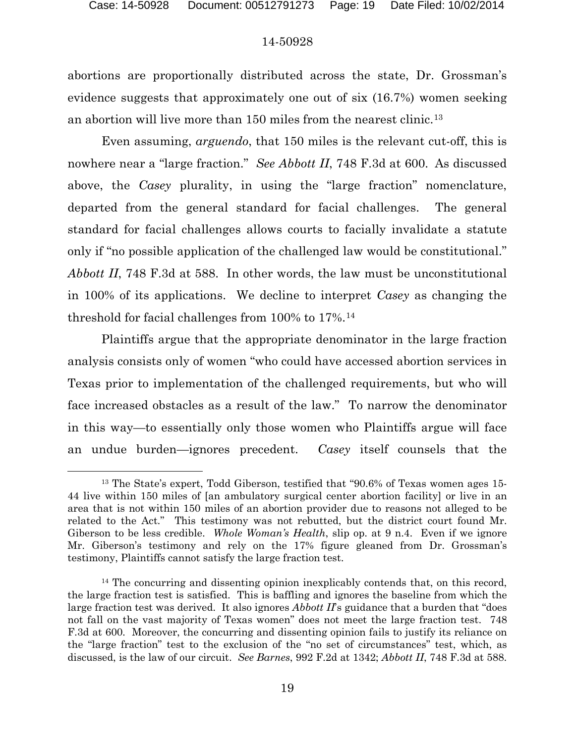## 14-50928

abortions are proportionally distributed across the state, Dr. Grossman's evidence suggests that approximately one out of six (16.7%) women seeking an abortion will live more than 150 miles from the nearest clinic.[13](#page-18-0)

Even assuming, *arguendo*, that 150 miles is the relevant cut-off, this is nowhere near a "large fraction." *See Abbott II*, 748 F.3d at 600. As discussed above, the *Casey* plurality, in using the "large fraction" nomenclature, departed from the general standard for facial challenges. The general standard for facial challenges allows courts to facially invalidate a statute only if "no possible application of the challenged law would be constitutional." *Abbott II*, 748 F.3d at 588. In other words, the law must be unconstitutional in 100% of its applications. We decline to interpret *Casey* as changing the threshold for facial challenges from 100% to 17%.[14](#page-18-1)

Plaintiffs argue that the appropriate denominator in the large fraction analysis consists only of women "who could have accessed abortion services in Texas prior to implementation of the challenged requirements, but who will face increased obstacles as a result of the law." To narrow the denominator in this way—to essentially only those women who Plaintiffs argue will face an undue burden—ignores precedent. *Casey* itself counsels that the

<span id="page-18-0"></span><sup>13</sup> The State's expert, Todd Giberson, testified that "90.6% of Texas women ages 15- 44 live within 150 miles of [an ambulatory surgical center abortion facility] or live in an area that is not within 150 miles of an abortion provider due to reasons not alleged to be related to the Act." This testimony was not rebutted, but the district court found Mr. Giberson to be less credible. *Whole Woman's Health*, slip op. at 9 n.4. Even if we ignore Mr. Giberson's testimony and rely on the 17% figure gleaned from Dr. Grossman's testimony, Plaintiffs cannot satisfy the large fraction test.

<span id="page-18-1"></span><sup>&</sup>lt;sup>14</sup> The concurring and dissenting opinion inexplicably contends that, on this record, the large fraction test is satisfied. This is baffling and ignores the baseline from which the large fraction test was derived. It also ignores *Abbott II*'s guidance that a burden that "does not fall on the vast majority of Texas women" does not meet the large fraction test. 748 F.3d at 600. Moreover, the concurring and dissenting opinion fails to justify its reliance on the "large fraction" test to the exclusion of the "no set of circumstances" test, which, as discussed, is the law of our circuit. *See Barnes*, 992 F.2d at 1342; *Abbott II*, 748 F.3d at 588.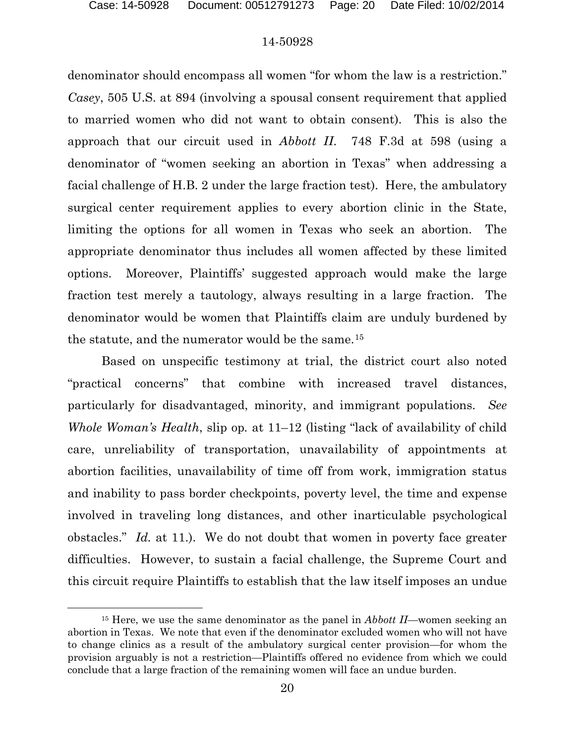## 14-50928

denominator should encompass all women "for whom the law is a restriction." *Casey*, 505 U.S. at 894 (involving a spousal consent requirement that applied to married women who did not want to obtain consent). This is also the approach that our circuit used in *Abbott II*. 748 F.3d at 598 (using a denominator of "women seeking an abortion in Texas" when addressing a facial challenge of H.B. 2 under the large fraction test). Here, the ambulatory surgical center requirement applies to every abortion clinic in the State, limiting the options for all women in Texas who seek an abortion. The appropriate denominator thus includes all women affected by these limited options. Moreover, Plaintiffs' suggested approach would make the large fraction test merely a tautology, always resulting in a large fraction. The denominator would be women that Plaintiffs claim are unduly burdened by the statute, and the numerator would be the same.[15](#page-19-0)

Based on unspecific testimony at trial, the district court also noted "practical concerns" that combine with increased travel distances, particularly for disadvantaged, minority, and immigrant populations. *See Whole Woman's Health*, slip op*.* at 11–12 (listing "lack of availability of child care, unreliability of transportation, unavailability of appointments at abortion facilities, unavailability of time off from work, immigration status and inability to pass border checkpoints, poverty level, the time and expense involved in traveling long distances, and other inarticulable psychological obstacles." *Id.* at 11.). We do not doubt that women in poverty face greater difficulties. However, to sustain a facial challenge, the Supreme Court and this circuit require Plaintiffs to establish that the law itself imposes an undue

<span id="page-19-0"></span><sup>15</sup> Here, we use the same denominator as the panel in *Abbott II—*women seeking an abortion in Texas. We note that even if the denominator excluded women who will not have to change clinics as a result of the ambulatory surgical center provision—for whom the provision arguably is not a restriction—Plaintiffs offered no evidence from which we could conclude that a large fraction of the remaining women will face an undue burden.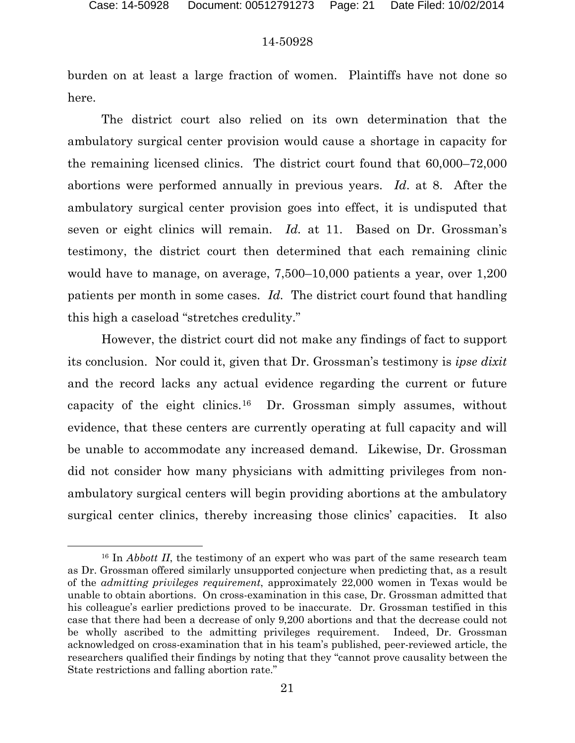#### 14-50928

burden on at least a large fraction of women. Plaintiffs have not done so here.

The district court also relied on its own determination that the ambulatory surgical center provision would cause a shortage in capacity for the remaining licensed clinics. The district court found that 60,000–72,000 abortions were performed annually in previous years. *Id*. at 8. After the ambulatory surgical center provision goes into effect, it is undisputed that seven or eight clinics will remain. *Id.* at 11. Based on Dr. Grossman's testimony, the district court then determined that each remaining clinic would have to manage, on average, 7,500–10,000 patients a year, over 1,200 patients per month in some cases. *Id.* The district court found that handling this high a caseload "stretches credulity."

However, the district court did not make any findings of fact to support its conclusion. Nor could it, given that Dr. Grossman's testimony is *ipse dixit* and the record lacks any actual evidence regarding the current or future capacity of the eight clinics.[16](#page-20-0) Dr. Grossman simply assumes, without evidence, that these centers are currently operating at full capacity and will be unable to accommodate any increased demand. Likewise, Dr. Grossman did not consider how many physicians with admitting privileges from nonambulatory surgical centers will begin providing abortions at the ambulatory surgical center clinics, thereby increasing those clinics' capacities. It also

<span id="page-20-0"></span><sup>&</sup>lt;sup>16</sup> In *Abbott II*, the testimony of an expert who was part of the same research team as Dr. Grossman offered similarly unsupported conjecture when predicting that, as a result of the *admitting privileges requirement*, approximately 22,000 women in Texas would be unable to obtain abortions. On cross-examination in this case, Dr. Grossman admitted that his colleague's earlier predictions proved to be inaccurate. Dr. Grossman testified in this case that there had been a decrease of only 9,200 abortions and that the decrease could not be wholly ascribed to the admitting privileges requirement. Indeed, Dr. Grossman acknowledged on cross-examination that in his team's published, peer-reviewed article, the researchers qualified their findings by noting that they "cannot prove causality between the State restrictions and falling abortion rate."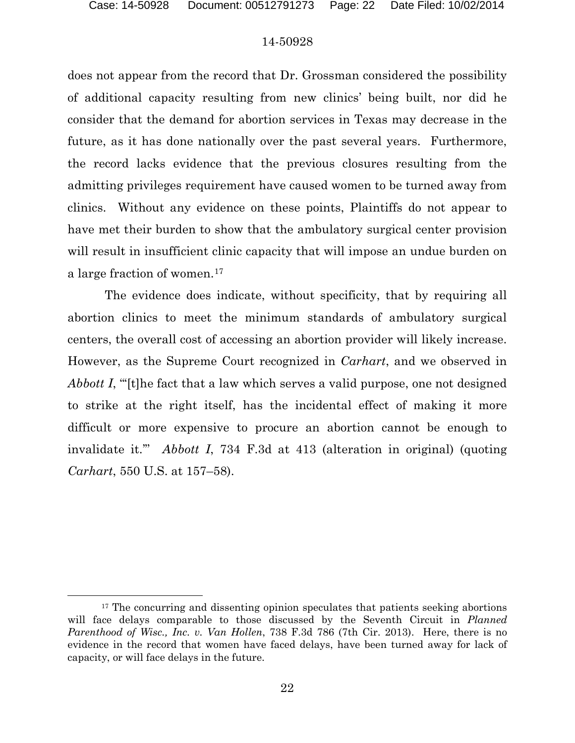## 14-50928

does not appear from the record that Dr. Grossman considered the possibility of additional capacity resulting from new clinics' being built, nor did he consider that the demand for abortion services in Texas may decrease in the future, as it has done nationally over the past several years. Furthermore, the record lacks evidence that the previous closures resulting from the admitting privileges requirement have caused women to be turned away from clinics. Without any evidence on these points, Plaintiffs do not appear to have met their burden to show that the ambulatory surgical center provision will result in insufficient clinic capacity that will impose an undue burden on a large fraction of women.[17](#page-21-0)

The evidence does indicate, without specificity, that by requiring all abortion clinics to meet the minimum standards of ambulatory surgical centers, the overall cost of accessing an abortion provider will likely increase. However, as the Supreme Court recognized in *Carhart*, and we observed in *Abbott I*, "It the fact that a law which serves a valid purpose, one not designed to strike at the right itself, has the incidental effect of making it more difficult or more expensive to procure an abortion cannot be enough to invalidate it.'" *Abbott I*, 734 F.3d at 413 (alteration in original) (quoting *Carhart*, 550 U.S. at 157–58).

<span id="page-21-0"></span><sup>&</sup>lt;sup>17</sup> The concurring and dissenting opinion speculates that patients seeking abortions will face delays comparable to those discussed by the Seventh Circuit in *Planned Parenthood of Wisc., Inc. v. Van Hollen*, 738 F.3d 786 (7th Cir. 2013). Here, there is no evidence in the record that women have faced delays, have been turned away for lack of capacity, or will face delays in the future.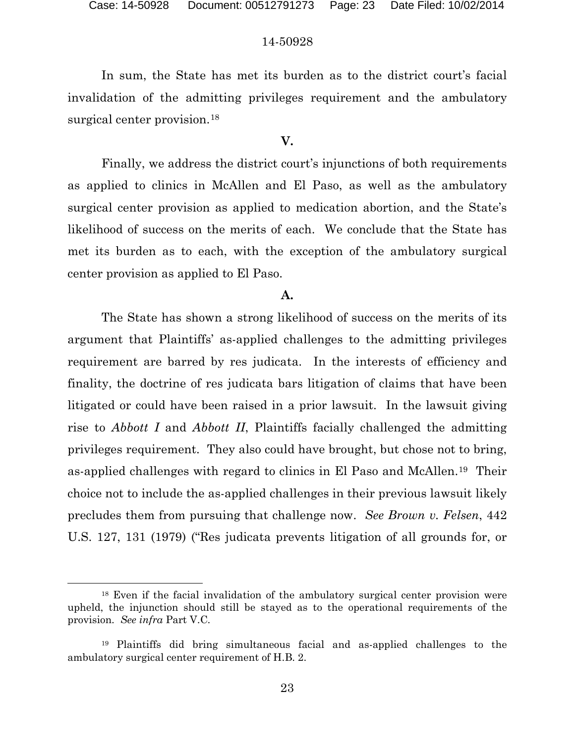# 14-50928

In sum, the State has met its burden as to the district court's facial invalidation of the admitting privileges requirement and the ambulatory surgical center provision.<sup>[18](#page-22-0)</sup>

# **V.**

Finally, we address the district court's injunctions of both requirements as applied to clinics in McAllen and El Paso, as well as the ambulatory surgical center provision as applied to medication abortion, and the State's likelihood of success on the merits of each. We conclude that the State has met its burden as to each, with the exception of the ambulatory surgical center provision as applied to El Paso.

# **A.**

The State has shown a strong likelihood of success on the merits of its argument that Plaintiffs' as-applied challenges to the admitting privileges requirement are barred by res judicata. In the interests of efficiency and finality, the doctrine of res judicata bars litigation of claims that have been litigated or could have been raised in a prior lawsuit. In the lawsuit giving rise to *Abbott I* and *Abbott II*, Plaintiffs facially challenged the admitting privileges requirement. They also could have brought, but chose not to bring, as-applied challenges with regard to clinics in El Paso and McAllen.[19](#page-22-1) Their choice not to include the as-applied challenges in their previous lawsuit likely precludes them from pursuing that challenge now. *See Brown v. Felsen*, 442 U.S. 127, 131 (1979) ("Res judicata prevents litigation of all grounds for, or

<span id="page-22-0"></span><sup>18</sup> Even if the facial invalidation of the ambulatory surgical center provision were upheld, the injunction should still be stayed as to the operational requirements of the provision. *See infra* Part V.C.

<span id="page-22-1"></span><sup>19</sup> Plaintiffs did bring simultaneous facial and as-applied challenges to the ambulatory surgical center requirement of H.B. 2.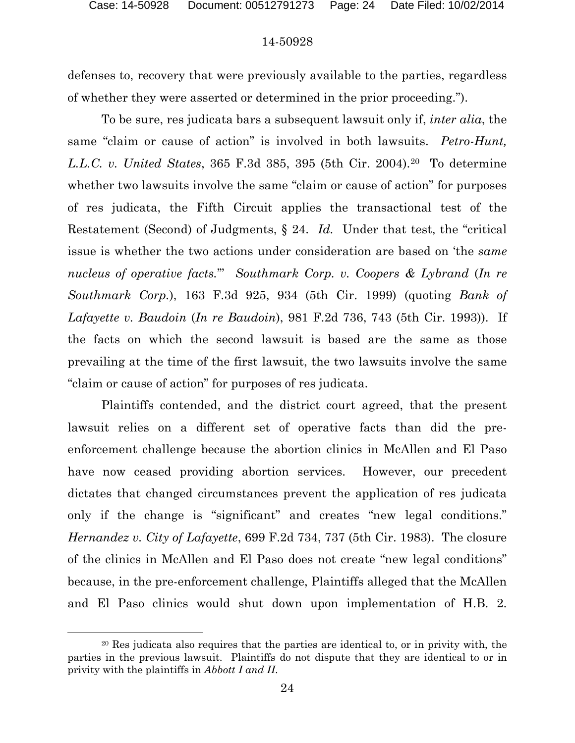# 14-50928

defenses to, recovery that were previously available to the parties, regardless of whether they were asserted or determined in the prior proceeding.").

To be sure, res judicata bars a subsequent lawsuit only if, *inter alia*, the same "claim or cause of action" is involved in both lawsuits. *Petro-Hunt, L.L.C. v. United States*, 365 F.3d 385, 395 (5th Cir. 2004).[20](#page-23-0) To determine whether two lawsuits involve the same "claim or cause of action" for purposes of res judicata, the Fifth Circuit applies the transactional test of the Restatement (Second) of Judgments, § 24. *Id.* Under that test, the "critical issue is whether the two actions under consideration are based on 'the *same nucleus of operative facts.*'" *Southmark Corp. v. Coopers & Lybrand* (*In re Southmark Corp.*), 163 F.3d 925, 934 (5th Cir. 1999) (quoting *Bank of Lafayette v. Baudoin* (*In re Baudoin*), 981 F.2d 736, 743 (5th Cir. 1993)). If the facts on which the second lawsuit is based are the same as those prevailing at the time of the first lawsuit, the two lawsuits involve the same "claim or cause of action" for purposes of res judicata.

Plaintiffs contended, and the district court agreed, that the present lawsuit relies on a different set of operative facts than did the preenforcement challenge because the abortion clinics in McAllen and El Paso have now ceased providing abortion services. However, our precedent dictates that changed circumstances prevent the application of res judicata only if the change is "significant" and creates "new legal conditions." *Hernandez v. City of Lafayette*, 699 F.2d 734, 737 (5th Cir. 1983). The closure of the clinics in McAllen and El Paso does not create "new legal conditions" because, in the pre-enforcement challenge, Plaintiffs alleged that the McAllen and El Paso clinics would shut down upon implementation of H.B. 2.

<span id="page-23-0"></span><sup>20</sup> Res judicata also requires that the parties are identical to, or in privity with, the parties in the previous lawsuit. Plaintiffs do not dispute that they are identical to or in privity with the plaintiffs in *Abbott I and II*.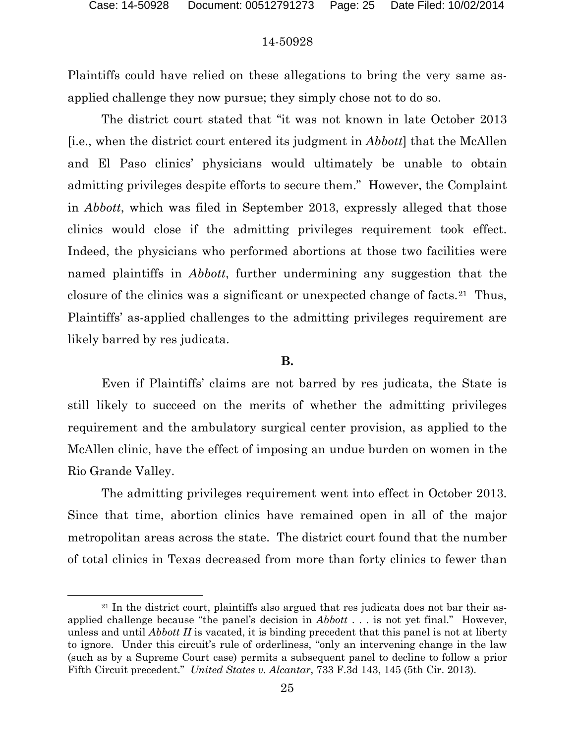# 14-50928

Plaintiffs could have relied on these allegations to bring the very same asapplied challenge they now pursue; they simply chose not to do so.

The district court stated that "it was not known in late October 2013 [i.e., when the district court entered its judgment in *Abbott*] that the McAllen and El Paso clinics' physicians would ultimately be unable to obtain admitting privileges despite efforts to secure them." However, the Complaint in *Abbott*, which was filed in September 2013, expressly alleged that those clinics would close if the admitting privileges requirement took effect. Indeed, the physicians who performed abortions at those two facilities were named plaintiffs in *Abbott*, further undermining any suggestion that the closure of the clinics was a significant or unexpected change of facts.[21](#page-24-0) Thus, Plaintiffs' as-applied challenges to the admitting privileges requirement are likely barred by res judicata.

# **B.**

Even if Plaintiffs' claims are not barred by res judicata, the State is still likely to succeed on the merits of whether the admitting privileges requirement and the ambulatory surgical center provision, as applied to the McAllen clinic, have the effect of imposing an undue burden on women in the Rio Grande Valley.

The admitting privileges requirement went into effect in October 2013. Since that time, abortion clinics have remained open in all of the major metropolitan areas across the state. The district court found that the number of total clinics in Texas decreased from more than forty clinics to fewer than

<span id="page-24-0"></span><sup>&</sup>lt;sup>21</sup> In the district court, plaintiffs also argued that res judicata does not bar their asapplied challenge because "the panel's decision in *Abbott* . . . is not yet final." However, unless and until *Abbott II* is vacated, it is binding precedent that this panel is not at liberty to ignore. Under this circuit's rule of orderliness, "only an intervening change in the law (such as by a Supreme Court case) permits a subsequent panel to decline to follow a prior Fifth Circuit precedent." *United States v. Alcantar*, 733 F.3d 143, 145 (5th Cir. 2013).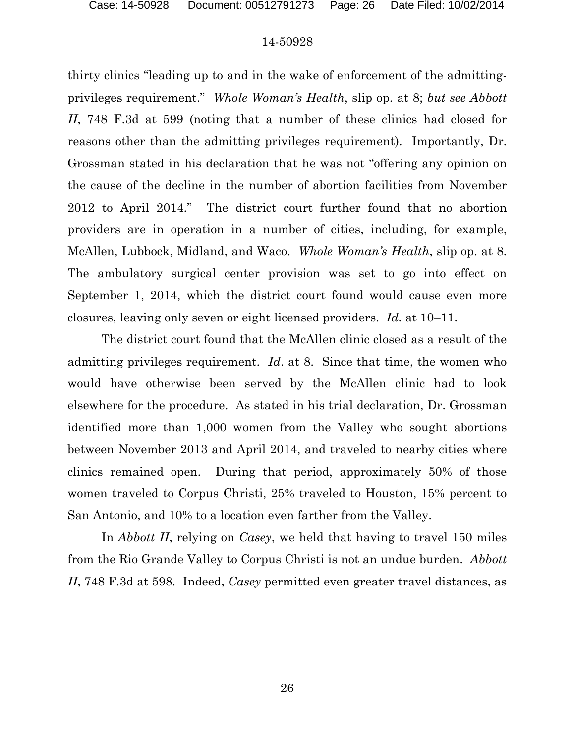thirty clinics "leading up to and in the wake of enforcement of the admittingprivileges requirement." *Whole Woman's Health*, slip op. at 8; *but see Abbott II*, 748 F.3d at 599 (noting that a number of these clinics had closed for reasons other than the admitting privileges requirement). Importantly, Dr. Grossman stated in his declaration that he was not "offering any opinion on the cause of the decline in the number of abortion facilities from November 2012 to April 2014." The district court further found that no abortion providers are in operation in a number of cities, including, for example, McAllen, Lubbock, Midland, and Waco. *Whole Woman's Health*, slip op. at 8. The ambulatory surgical center provision was set to go into effect on September 1, 2014, which the district court found would cause even more closures, leaving only seven or eight licensed providers. *Id.* at 10–11.

The district court found that the McAllen clinic closed as a result of the admitting privileges requirement. *Id*. at 8. Since that time, the women who would have otherwise been served by the McAllen clinic had to look elsewhere for the procedure. As stated in his trial declaration, Dr. Grossman identified more than 1,000 women from the Valley who sought abortions between November 2013 and April 2014, and traveled to nearby cities where clinics remained open. During that period, approximately 50% of those women traveled to Corpus Christi, 25% traveled to Houston, 15% percent to San Antonio, and 10% to a location even farther from the Valley.

In *Abbott II*, relying on *Casey*, we held that having to travel 150 miles from the Rio Grande Valley to Corpus Christi is not an undue burden. *Abbott II*, 748 F.3d at 598. Indeed, *Casey* permitted even greater travel distances, as

26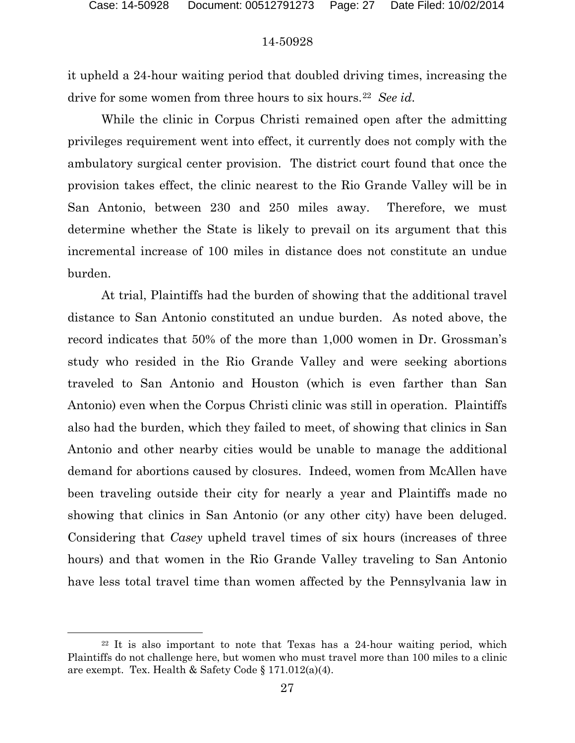## 14-50928

it upheld a 24-hour waiting period that doubled driving times, increasing the drive for some women from three hours to six hours.<sup>22</sup> *See id.* 

While the clinic in Corpus Christi remained open after the admitting privileges requirement went into effect, it currently does not comply with the ambulatory surgical center provision. The district court found that once the provision takes effect, the clinic nearest to the Rio Grande Valley will be in San Antonio, between 230 and 250 miles away. Therefore, we must determine whether the State is likely to prevail on its argument that this incremental increase of 100 miles in distance does not constitute an undue burden.

At trial, Plaintiffs had the burden of showing that the additional travel distance to San Antonio constituted an undue burden. As noted above, the record indicates that 50% of the more than 1,000 women in Dr. Grossman's study who resided in the Rio Grande Valley and were seeking abortions traveled to San Antonio and Houston (which is even farther than San Antonio) even when the Corpus Christi clinic was still in operation. Plaintiffs also had the burden, which they failed to meet, of showing that clinics in San Antonio and other nearby cities would be unable to manage the additional demand for abortions caused by closures. Indeed, women from McAllen have been traveling outside their city for nearly a year and Plaintiffs made no showing that clinics in San Antonio (or any other city) have been deluged. Considering that *Casey* upheld travel times of six hours (increases of three hours) and that women in the Rio Grande Valley traveling to San Antonio have less total travel time than women affected by the Pennsylvania law in

<span id="page-26-0"></span> $22$  It is also important to note that Texas has a 24-hour waiting period, which Plaintiffs do not challenge here, but women who must travel more than 100 miles to a clinic are exempt. Tex. Health & Safety Code § 171.012(a)(4).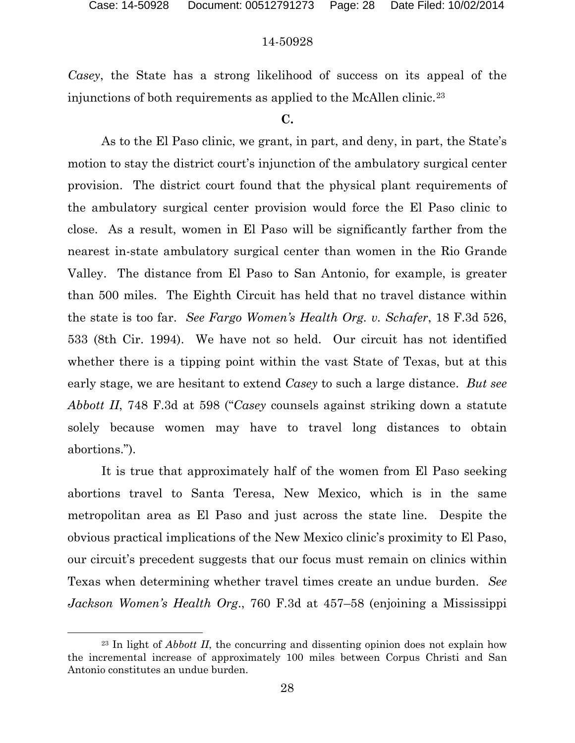### 14-50928

*Casey*, the State has a strong likelihood of success on its appeal of the injunctions of both requirements as applied to the McAllen clinic.<sup>[23](#page-27-0)</sup>

# **C.**

As to the El Paso clinic, we grant, in part, and deny, in part, the State's motion to stay the district court's injunction of the ambulatory surgical center provision. The district court found that the physical plant requirements of the ambulatory surgical center provision would force the El Paso clinic to close. As a result, women in El Paso will be significantly farther from the nearest in-state ambulatory surgical center than women in the Rio Grande Valley. The distance from El Paso to San Antonio, for example, is greater than 500 miles. The Eighth Circuit has held that no travel distance within the state is too far. *See Fargo Women's Health Org. v. Schafer*, 18 F.3d 526, 533 (8th Cir. 1994). We have not so held. Our circuit has not identified whether there is a tipping point within the vast State of Texas, but at this early stage, we are hesitant to extend *Casey* to such a large distance. *But see Abbott II*, 748 F.3d at 598 ("*Casey* counsels against striking down a statute solely because women may have to travel long distances to obtain abortions.").

It is true that approximately half of the women from El Paso seeking abortions travel to Santa Teresa, New Mexico, which is in the same metropolitan area as El Paso and just across the state line. Despite the obvious practical implications of the New Mexico clinic's proximity to El Paso, our circuit's precedent suggests that our focus must remain on clinics within Texas when determining whether travel times create an undue burden. *See Jackson Women's Health Org*., 760 F.3d at 457–58 (enjoining a Mississippi

<span id="page-27-0"></span><sup>&</sup>lt;sup>23</sup> In light of *Abbott II*, the concurring and dissenting opinion does not explain how the incremental increase of approximately 100 miles between Corpus Christi and San Antonio constitutes an undue burden.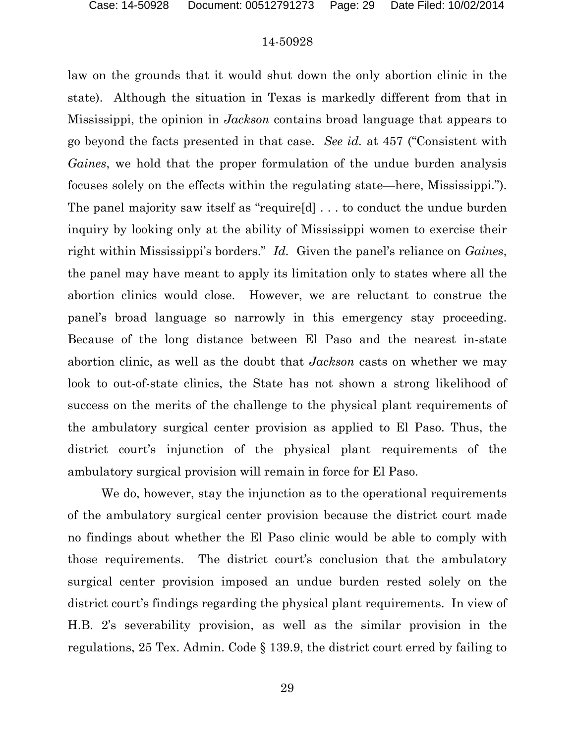law on the grounds that it would shut down the only abortion clinic in the state). Although the situation in Texas is markedly different from that in Mississippi, the opinion in *Jackson* contains broad language that appears to go beyond the facts presented in that case. *See id.* at 457 ("Consistent with *Gaines*, we hold that the proper formulation of the undue burden analysis focuses solely on the effects within the regulating state—here, Mississippi."). The panel majority saw itself as "require[d] . . . to conduct the undue burden inquiry by looking only at the ability of Mississippi women to exercise their right within Mississippi's borders." *Id.* Given the panel's reliance on *Gaines*, the panel may have meant to apply its limitation only to states where all the abortion clinics would close. However, we are reluctant to construe the panel's broad language so narrowly in this emergency stay proceeding. Because of the long distance between El Paso and the nearest in-state abortion clinic, as well as the doubt that *Jackson* casts on whether we may look to out-of-state clinics, the State has not shown a strong likelihood of success on the merits of the challenge to the physical plant requirements of the ambulatory surgical center provision as applied to El Paso. Thus, the district court's injunction of the physical plant requirements of the ambulatory surgical provision will remain in force for El Paso.

We do, however, stay the injunction as to the operational requirements of the ambulatory surgical center provision because the district court made no findings about whether the El Paso clinic would be able to comply with those requirements. The district court's conclusion that the ambulatory surgical center provision imposed an undue burden rested solely on the district court's findings regarding the physical plant requirements. In view of H.B. 2's severability provision, as well as the similar provision in the regulations, 25 Tex. Admin. Code § 139.9, the district court erred by failing to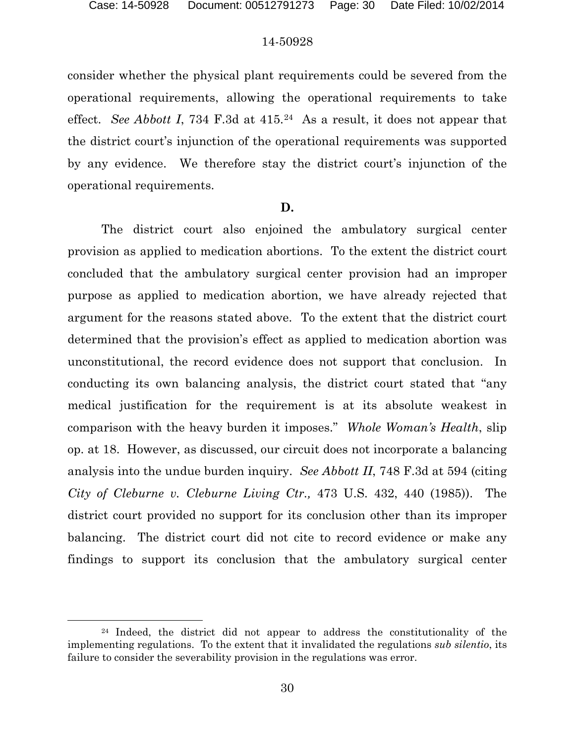# 14-50928

consider whether the physical plant requirements could be severed from the operational requirements, allowing the operational requirements to take effect. *See Abbott I*, 734 F.3d at 415.[24](#page-29-0) As a result, it does not appear that the district court's injunction of the operational requirements was supported by any evidence. We therefore stay the district court's injunction of the operational requirements.

# **D.**

The district court also enjoined the ambulatory surgical center provision as applied to medication abortions. To the extent the district court concluded that the ambulatory surgical center provision had an improper purpose as applied to medication abortion, we have already rejected that argument for the reasons stated above. To the extent that the district court determined that the provision's effect as applied to medication abortion was unconstitutional, the record evidence does not support that conclusion. In conducting its own balancing analysis, the district court stated that "any medical justification for the requirement is at its absolute weakest in comparison with the heavy burden it imposes." *Whole Woman's Health*, slip op. at 18. However, as discussed, our circuit does not incorporate a balancing analysis into the undue burden inquiry. *See Abbott II*, 748 F.3d at 594 (citing *City of Cleburne v. Cleburne Living Ctr.,* 473 U.S. 432, 440 (1985)). The district court provided no support for its conclusion other than its improper balancing. The district court did not cite to record evidence or make any findings to support its conclusion that the ambulatory surgical center

<span id="page-29-0"></span><sup>&</sup>lt;sup>24</sup> Indeed, the district did not appear to address the constitutionality of the implementing regulations. To the extent that it invalidated the regulations *sub silentio*, its failure to consider the severability provision in the regulations was error.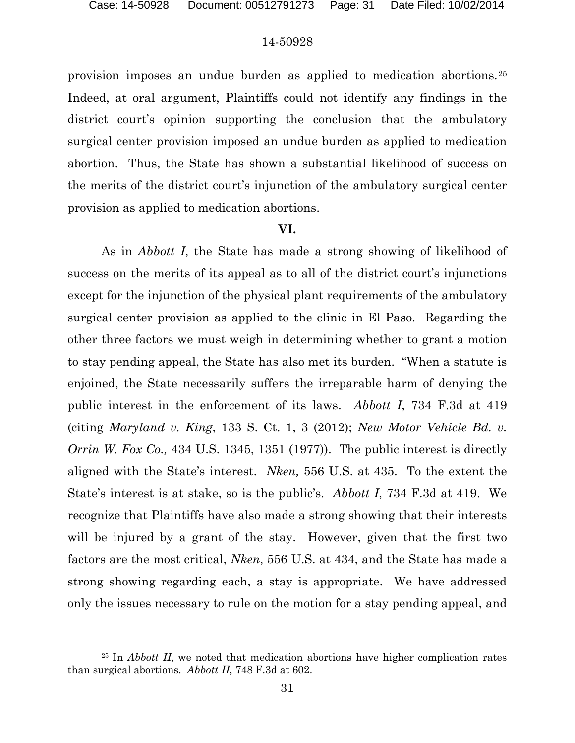# 14-50928

provision imposes an undue burden as applied to medication abortions.[25](#page-30-0) Indeed, at oral argument, Plaintiffs could not identify any findings in the district court's opinion supporting the conclusion that the ambulatory surgical center provision imposed an undue burden as applied to medication abortion. Thus, the State has shown a substantial likelihood of success on the merits of the district court's injunction of the ambulatory surgical center provision as applied to medication abortions.

# **VI.**

As in *Abbott I*, the State has made a strong showing of likelihood of success on the merits of its appeal as to all of the district court's injunctions except for the injunction of the physical plant requirements of the ambulatory surgical center provision as applied to the clinic in El Paso. Regarding the other three factors we must weigh in determining whether to grant a motion to stay pending appeal, the State has also met its burden. "When a statute is enjoined, the State necessarily suffers the irreparable harm of denying the public interest in the enforcement of its laws. *Abbott I*, 734 F.3d at 419 (citing *Maryland v. King*, 133 S. Ct. 1, 3 (2012); *New Motor Vehicle Bd. v. Orrin W. Fox Co.*, 434 U.S. 1345, 1351 (1977)). The public interest is directly aligned with the State's interest. *Nken,* 556 U.S. at 435. To the extent the State's interest is at stake, so is the public's. *Abbott I*, 734 F.3d at 419. We recognize that Plaintiffs have also made a strong showing that their interests will be injured by a grant of the stay. However, given that the first two factors are the most critical, *Nken*, 556 U.S. at 434, and the State has made a strong showing regarding each, a stay is appropriate. We have addressed only the issues necessary to rule on the motion for a stay pending appeal, and

<span id="page-30-0"></span><sup>25</sup> In *Abbott II*, we noted that medication abortions have higher complication rates than surgical abortions. *Abbott II*, 748 F.3d at 602.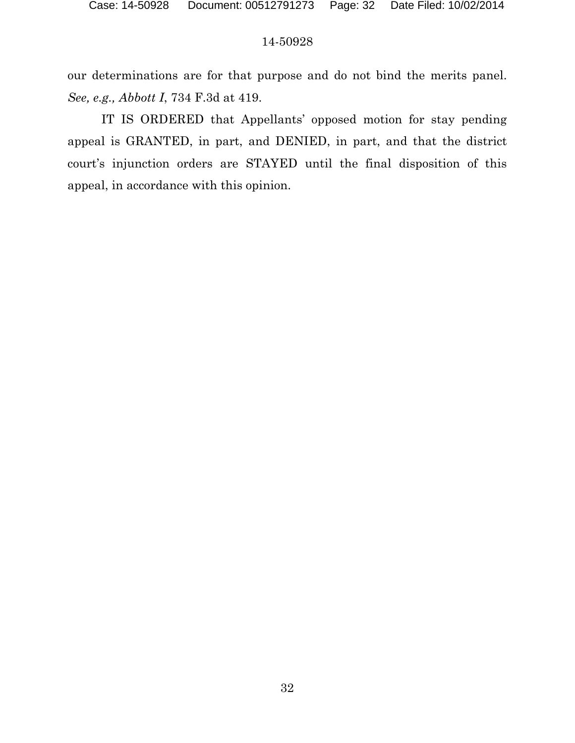our determinations are for that purpose and do not bind the merits panel. *See, e.g., Abbott I*, 734 F.3d at 419.

IT IS ORDERED that Appellants' opposed motion for stay pending appeal is GRANTED, in part, and DENIED, in part, and that the district court's injunction orders are STAYED until the final disposition of this appeal, in accordance with this opinion.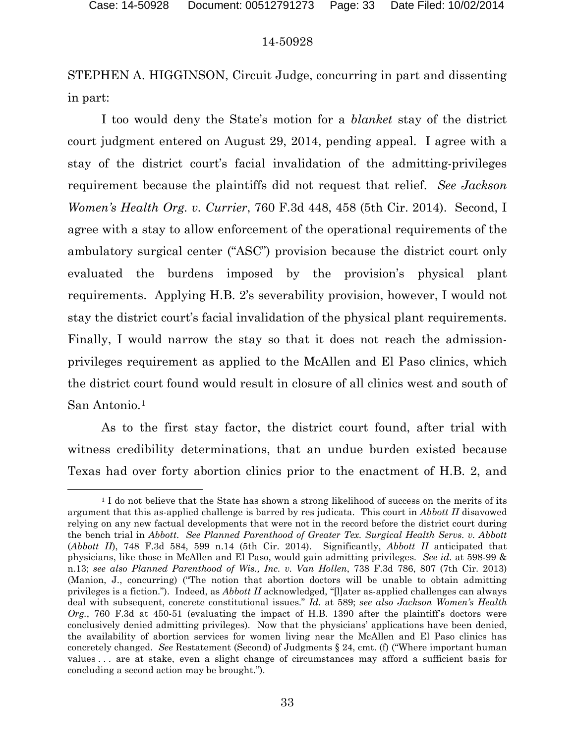#### 14-50928

STEPHEN A. HIGGINSON, Circuit Judge, concurring in part and dissenting in part:

I too would deny the State's motion for a *blanket* stay of the district court judgment entered on August 29, 2014, pending appeal. I agree with a stay of the district court's facial invalidation of the admitting-privileges requirement because the plaintiffs did not request that relief. *See Jackson Women's Health Org. v. Currier*, 760 F.3d 448, 458 (5th Cir. 2014). Second, I agree with a stay to allow enforcement of the operational requirements of the ambulatory surgical center ("ASC") provision because the district court only evaluated the burdens imposed by the provision's physical plant requirements. Applying H.B. 2's severability provision, however, I would not stay the district court's facial invalidation of the physical plant requirements. Finally, I would narrow the stay so that it does not reach the admissionprivileges requirement as applied to the McAllen and El Paso clinics, which the district court found would result in closure of all clinics west and south of San Antonio.[1](#page-32-0)

As to the first stay factor, the district court found, after trial with witness credibility determinations, that an undue burden existed because Texas had over forty abortion clinics prior to the enactment of H.B. 2, and

<span id="page-32-0"></span><sup>&</sup>lt;sup>1</sup> I do not believe that the State has shown a strong likelihood of success on the merits of its argument that this as-applied challenge is barred by res judicata. This court in *Abbott II* disavowed relying on any new factual developments that were not in the record before the district court during the bench trial in *Abbott*. *See Planned Parenthood of Greater Tex. Surgical Health Servs. v. Abbott*  (*Abbott II*), 748 F.3d 584, 599 n.14 (5th Cir. 2014). Significantly, *Abbott II* anticipated that physicians, like those in McAllen and El Paso, would gain admitting privileges. *See id.* at 598-99 & n.13; *see also Planned Parenthood of Wis., Inc. v. Van Hollen*, 738 F.3d 786, 807 (7th Cir. 2013) (Manion, J., concurring) ("The notion that abortion doctors will be unable to obtain admitting privileges is a fiction."). Indeed, as *Abbott II* acknowledged, "[l]ater as-applied challenges can always deal with subsequent, concrete constitutional issues." *Id.* at 589; *see also Jackson Women's Health Org.*, 760 F.3d at 450-51 (evaluating the impact of H.B. 1390 after the plaintiff's doctors were conclusively denied admitting privileges). Now that the physicians' applications have been denied, the availability of abortion services for women living near the McAllen and El Paso clinics has concretely changed. *See* Restatement (Second) of Judgments § 24, cmt. (f) ("Where important human values . . . are at stake, even a slight change of circumstances may afford a sufficient basis for concluding a second action may be brought.").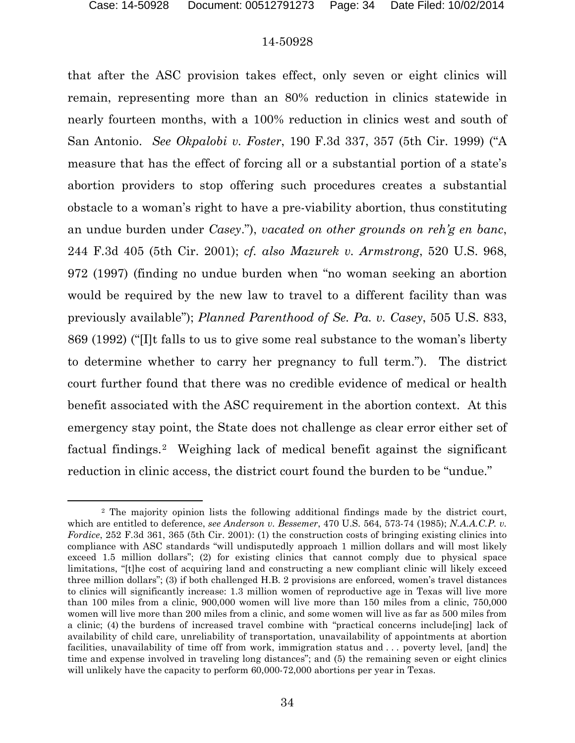## 14-50928

that after the ASC provision takes effect, only seven or eight clinics will remain, representing more than an 80% reduction in clinics statewide in nearly fourteen months, with a 100% reduction in clinics west and south of San Antonio. *See Okpalobi v. Foster*, 190 F.3d 337, 357 (5th Cir. 1999) ("A measure that has the effect of forcing all or a substantial portion of a state's abortion providers to stop offering such procedures creates a substantial obstacle to a woman's right to have a pre-viability abortion, thus constituting an undue burden under *Casey*."), *vacated on other grounds on reh'g en banc*, 244 F.3d 405 (5th Cir. 2001); *cf. also Mazurek v. Armstrong*, 520 U.S. 968, 972 (1997) (finding no undue burden when "no woman seeking an abortion would be required by the new law to travel to a different facility than was previously available"); *Planned Parenthood of Se. Pa. v. Casey*, 505 U.S. 833, 869 (1992) ("[I]t falls to us to give some real substance to the woman's liberty to determine whether to carry her pregnancy to full term."). The district court further found that there was no credible evidence of medical or health benefit associated with the ASC requirement in the abortion context. At this emergency stay point, the State does not challenge as clear error either set of factual findings.[2](#page-33-0) Weighing lack of medical benefit against the significant reduction in clinic access, the district court found the burden to be "undue."

<span id="page-33-0"></span><sup>2</sup> The majority opinion lists the following additional findings made by the district court, which are entitled to deference, *see Anderson v. Bessemer*, 470 U.S. 564, 573-74 (1985); *N.A.A.C.P. v. Fordice*, 252 F.3d 361, 365 (5th Cir. 2001): (1) the construction costs of bringing existing clinics into compliance with ASC standards "will undisputedly approach 1 million dollars and will most likely exceed 1.5 million dollars"; (2) for existing clinics that cannot comply due to physical space limitations, "[t]he cost of acquiring land and constructing a new compliant clinic will likely exceed three million dollars"; (3) if both challenged H.B. 2 provisions are enforced, women's travel distances to clinics will significantly increase: 1.3 million women of reproductive age in Texas will live more than 100 miles from a clinic, 900,000 women will live more than 150 miles from a clinic, 750,000 women will live more than 200 miles from a clinic, and some women will live as far as 500 miles from a clinic; (4) the burdens of increased travel combine with "practical concerns include[ing] lack of availability of child care, unreliability of transportation, unavailability of appointments at abortion facilities, unavailability of time off from work, immigration status and . . . poverty level, [and] the time and expense involved in traveling long distances"; and (5) the remaining seven or eight clinics will unlikely have the capacity to perform 60,000-72,000 abortions per year in Texas.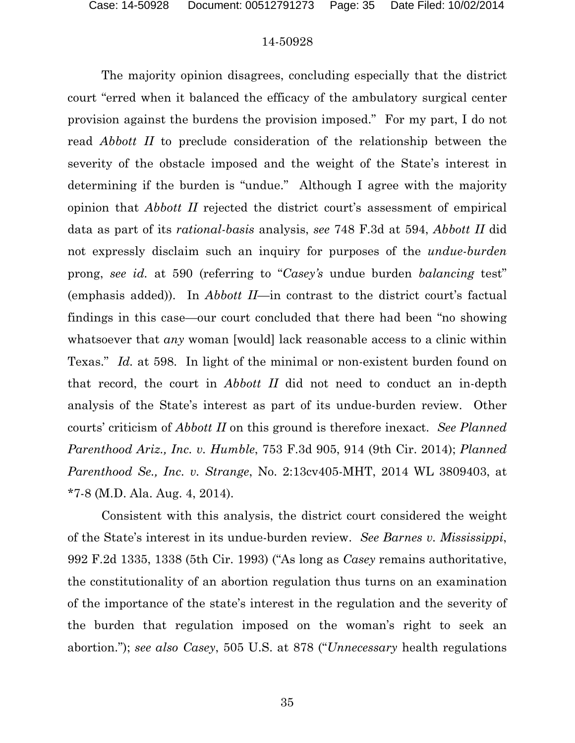The majority opinion disagrees, concluding especially that the district court "erred when it balanced the efficacy of the ambulatory surgical center provision against the burdens the provision imposed." For my part, I do not read *Abbott II* to preclude consideration of the relationship between the severity of the obstacle imposed and the weight of the State's interest in determining if the burden is "undue." Although I agree with the majority opinion that *Abbott II* rejected the district court's assessment of empirical data as part of its *rational-basis* analysis, *see* 748 F.3d at 594, *Abbott II* did not expressly disclaim such an inquiry for purposes of the *undue-burden*  prong, *see id.* at 590 (referring to "*Casey's* undue burden *balancing* test" (emphasis added)). In *Abbott II*—in contrast to the district court's factual findings in this case—our court concluded that there had been "no showing whatsoever that *any* woman [would] lack reasonable access to a clinic within Texas." *Id.* at 598. In light of the minimal or non-existent burden found on that record, the court in *Abbott II* did not need to conduct an in-depth analysis of the State's interest as part of its undue-burden review. Other courts' criticism of *Abbott II* on this ground is therefore inexact. *See Planned Parenthood Ariz., Inc. v. Humble*, 753 F.3d 905, 914 (9th Cir. 2014); *Planned Parenthood Se., Inc. v. Strange*, No. 2:13cv405-MHT, 2014 WL 3809403, at \*7-8 (M.D. Ala. Aug. 4, 2014).

Consistent with this analysis, the district court considered the weight of the State's interest in its undue-burden review. *See Barnes v. Mississippi*, 992 F.2d 1335, 1338 (5th Cir. 1993) ("As long as *Casey* remains authoritative, the constitutionality of an abortion regulation thus turns on an examination of the importance of the state's interest in the regulation and the severity of the burden that regulation imposed on the woman's right to seek an abortion."); *see also Casey*, 505 U.S. at 878 ("*Unnecessary* health regulations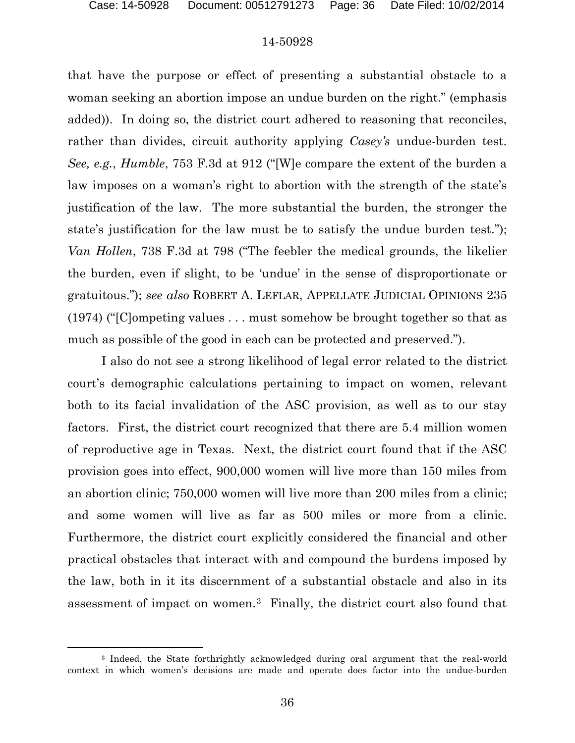### 14-50928

that have the purpose or effect of presenting a substantial obstacle to a woman seeking an abortion impose an undue burden on the right." (emphasis added)). In doing so, the district court adhered to reasoning that reconciles, rather than divides, circuit authority applying *Casey's* undue-burden test. *See, e.g.*, *Humble*, 753 F.3d at 912 ("[W]e compare the extent of the burden a law imposes on a woman's right to abortion with the strength of the state's justification of the law. The more substantial the burden, the stronger the state's justification for the law must be to satisfy the undue burden test."); *Van Hollen*, 738 F.3d at 798 ("The feebler the medical grounds, the likelier the burden, even if slight, to be 'undue' in the sense of disproportionate or gratuitous."); *see also* ROBERT A. LEFLAR, APPELLATE JUDICIAL OPINIONS 235 (1974) ("[C]ompeting values . . . must somehow be brought together so that as much as possible of the good in each can be protected and preserved.").

I also do not see a strong likelihood of legal error related to the district court's demographic calculations pertaining to impact on women, relevant both to its facial invalidation of the ASC provision, as well as to our stay factors. First, the district court recognized that there are 5.4 million women of reproductive age in Texas. Next, the district court found that if the ASC provision goes into effect, 900,000 women will live more than 150 miles from an abortion clinic; 750,000 women will live more than 200 miles from a clinic; and some women will live as far as 500 miles or more from a clinic. Furthermore, the district court explicitly considered the financial and other practical obstacles that interact with and compound the burdens imposed by the law, both in it its discernment of a substantial obstacle and also in its assessment of impact on women.[3](#page-35-0) Finally, the district court also found that

<span id="page-35-0"></span><sup>3</sup> Indeed, the State forthrightly acknowledged during oral argument that the real-world context in which women's decisions are made and operate does factor into the undue-burden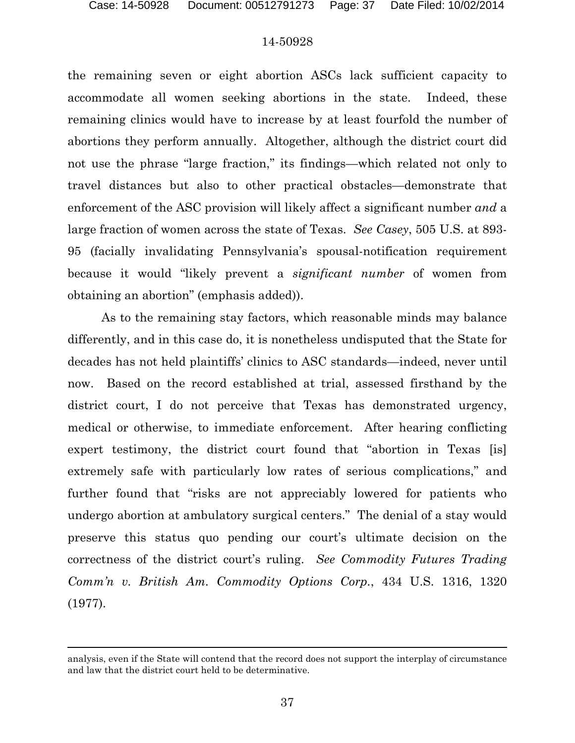### 14-50928

the remaining seven or eight abortion ASCs lack sufficient capacity to accommodate all women seeking abortions in the state. Indeed, these remaining clinics would have to increase by at least fourfold the number of abortions they perform annually. Altogether, although the district court did not use the phrase "large fraction," its findings—which related not only to travel distances but also to other practical obstacles—demonstrate that enforcement of the ASC provision will likely affect a significant number *and* a large fraction of women across the state of Texas. *See Casey*, 505 U.S. at 893- 95 (facially invalidating Pennsylvania's spousal-notification requirement because it would "likely prevent a *significant number* of women from obtaining an abortion" (emphasis added)).

As to the remaining stay factors, which reasonable minds may balance differently, and in this case do, it is nonetheless undisputed that the State for decades has not held plaintiffs' clinics to ASC standards—indeed, never until now. Based on the record established at trial, assessed firsthand by the district court, I do not perceive that Texas has demonstrated urgency, medical or otherwise, to immediate enforcement. After hearing conflicting expert testimony, the district court found that "abortion in Texas [is] extremely safe with particularly low rates of serious complications," and further found that "risks are not appreciably lowered for patients who undergo abortion at ambulatory surgical centers." The denial of a stay would preserve this status quo pending our court's ultimate decision on the correctness of the district court's ruling. *See Commodity Futures Trading Comm'n v. British Am. Commodity Options Corp.*, 434 U.S. 1316, 1320 (1977).

analysis, even if the State will contend that the record does not support the interplay of circumstance and law that the district court held to be determinative.